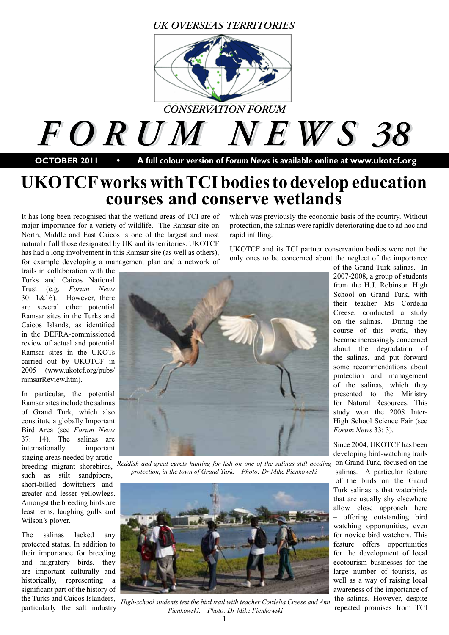### *UK OVERSEAS TERRITORIES*



*F O R U M N E W S 38 F O R U M N E W S 38*

**OCTOBER 2011 • A full colour version of** *Forum News* **is available online at www.ukotcf.org**

# **UKOTCF works with TCI bodies to develop education courses and conserve wetlands**

It has long been recognised that the wetland areas of TCI are of major importance for a variety of wildlife. The Ramsar site on North, Middle and East Caicos is one of the largest and most natural of all those designated by UK and its territories. UKOTCF has had a long involvement in this Ramsar site (as well as others), for example developing a management plan and a network of

trails in collaboration with the Turks and Caicos National Trust (e.g. *Forum News* 30: 1&16). However, there are several other potential Ramsar sites in the Turks and Caicos Islands, as identified in the DEFRA-commissioned review of actual and potential Ramsar sites in the UKOTs carried out by UKOTCF in 2005 (www.ukotcf.org/pubs/ ramsarReview.htm).

In particular, the potential Ramsar sites include the salinas of Grand Turk, which also constitute a globally Important Bird Area (see *Forum News* 37: 14). The salinas are internationally important staging areas needed by arcticsuch as stilt sandpipers, short-billed dowitchers and greater and lesser yellowlegs. Amongst the breeding birds are least terns, laughing gulls and Wilson's plover.

The salinas lacked any protected status. In addition to their importance for breeding and migratory birds, they are important culturally and historically, representing a significant part of the history of particularly the salt industry

which was previously the economic basis of the country. Without protection, the salinas were rapidly deteriorating due to ad hoc and rapid infilling.

UKOTCF and its TCI partner conservation bodies were not the only ones to be concerned about the neglect of the importance



breeding migrant shorebirds, *Reddish and great egrets hunting for fish on one of the salinas still needing protection, in the town of Grand Turk. Photo: Dr Mike Pienkowski* 



the Turks and Caicos Islanders, *High-school students test the bird trail with teacher Cordelia Creese and Ann* the salinas. However, despite particularly the salt industry *Pienkowski Photo: Dr Mike Pienkowski* repeated *Pienkowski. Photo: Dr Mike Pienkowski* 

of the Grand Turk salinas. In 2007-2008, a group of students from the H.J. Robinson High School on Grand Turk, with their teacher Ms Cordelia Creese, conducted a study on the salinas. During the course of this work, they became increasingly concerned about the degradation of the salinas, and put forward some recommendations about protection and management of the salinas, which they presented to the Ministry for Natural Resources. This study won the 2008 Inter-High School Science Fair (see *Forum News* 33: 3).

Since 2004, UKOTCF has been developing bird-watching trails on Grand Turk, focused on the salinas. A particular feature of the birds on the Grand Turk salinas is that waterbirds that are usually shy elsewhere allow close approach here – offering outstanding bird watching opportunities, even for novice bird watchers. This feature offers opportunities for the development of local ecotourism businesses for the large number of tourists, as well as a way of raising local awareness of the importance of the salinas. However, despite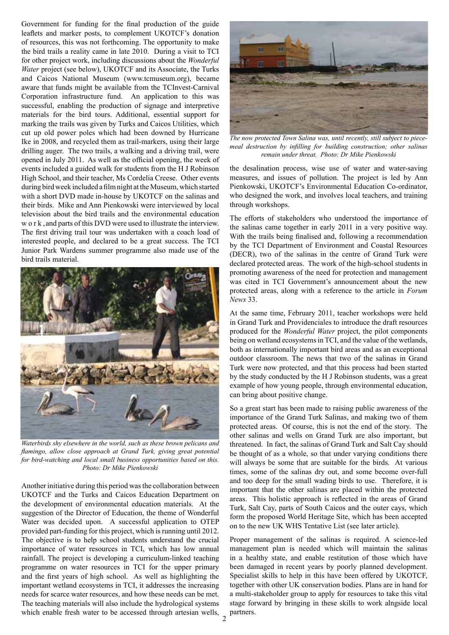Government for funding for the final production of the guide leaflets and marker posts, to complement UKOTCF's donation of resources, this was not forthcoming. The opportunity to make the bird trails a reality came in late 2010. During a visit to TCI for other project work, including discussions about the *Wonderful Water* project (see below), UKOTCF and its Associate, the Turks and Caicos National Museum (www.tcmuseum.org), became aware that funds might be available from the TCInvest-Carnival Corporation infrastructure fund. An application to this was successful, enabling the production of signage and interpretive materials for the bird tours. Additional, essential support for marking the trails was given by Turks and Caicos Utilities, which cut up old power poles which had been downed by Hurricane Ike in 2008, and recycled them as trail-markers, using their large drilling auger. The two trails, a walking and a driving trail, were opened in July 2011. As well as the official opening, the week of events included a guided walk for students from the H J Robinson High School, and their teacher, Ms Cordelia Creese. Other events during bird week included a film night at the Museum, which started with a short DVD made in-house by UKOTCF on the salinas and their birds. Mike and Ann Pienkowski were interviewed by local television about the bird trails and the environmental education w o r k , and parts of this DVD were used to illustrate the interview. The first driving trail tour was undertaken with a coach load of interested people, and declared to be a great success. The TCI Junior Park Wardens summer programme also made use of the bird trails material.



*Waterbirds shy elsewhere in the world, such as these brown pelicans and flamingo, allow close approach at Grand Turk, giving great potential for bird-watching and local small business opportunities based on this. Photo: Dr Mike Pienkowski*

Another initiative during this period was the collaboration between UKOTCF and the Turks and Caicos Education Department on the development of environmental education materials. At the suggestion of the Director of Education, the theme of Wonderful Water was decided upon. A successful application to OTEP provided part-funding for this project, which is running until 2012. The objective is to help school students understand the crucial importance of water resources in TCI, which has low annual rainfall. The project is developing a curriculum-linked teaching programme on water resources in TCI for the upper primary and the first years of high school. As well as highlighting the important wetland ecosystems in TCI, it addresses the increasing needs for scarce water resources, and how these needs can be met. The teaching materials will also include the hydrological systems which enable fresh water to be accessed through artesian wells,



*The now protected Town Salina was, until recently, still subject to piecemeal destruction by infilling for building construction; other salinas remain under threat. Photo: Dr Mike Pienkowski* 

the desalination process, wise use of water and water-saving measures, and issues of pollution. The project is led by Ann Pienkowski, UKOTCF's Environmental Education Co-ordinator, who designed the work, and involves local teachers, and training through workshops.

The efforts of stakeholders who understood the importance of the salinas came together in early 2011 in a very positive way. With the trails being finalised and, following a recommendation by the TCI Department of Environment and Coastal Resources (DECR), two of the salinas in the centre of Grand Turk were declared protected areas. The work of the high-school students in promoting awareness of the need for protection and management was cited in TCI Government's announcement about the new protected areas, along with a reference to the article in *Forum News* 33.

At the same time, February 2011, teacher workshops were held in Grand Turk and Providenciales to introduce the draft resources produced for the *Wonderful Water* project, the pilot components being on wetland ecosystems in TCI, and the value of the wetlands, both as internationally important bird areas and as an exceptional outdoor classroom. The news that two of the salinas in Grand Turk were now protected, and that this process had been started by the study conducted by the H J Robinson students, was a great example of how young people, through environmental education, can bring about positive change.

So a great start has been made to raising public awareness of the importance of the Grand Turk Salinas, and making two of them protected areas. Of course, this is not the end of the story. The other salinas and wells on Grand Turk are also important, but threatened. In fact, the salinas of Grand Turk and Salt Cay should be thought of as a whole, so that under varying conditions there will always be some that are suitable for the birds. At various times, some of the salinas dry out, and some become over-full and too deep for the small wading birds to use. Therefore, it is important that the other salinas are placed within the protected areas. This holistic approach is reflected in the areas of Grand Turk, Salt Cay, parts of South Caicos and the outer cays, which form the proposed World Heritage Site, which has been accepted on to the new UK WHS Tentative List (see later article).

Proper management of the salinas is required. A science-led management plan is needed which will maintain the salinas in a healthy state, and enable restitution of those which have been damaged in recent years by poorly planned development. Specialist skills to help in this have been offered by UKOTCF, together with other UK conservation bodies. Plans are in hand for a multi-stakeholder group to apply for resources to take this vital stage forward by bringing in these skills to work alngside local partners.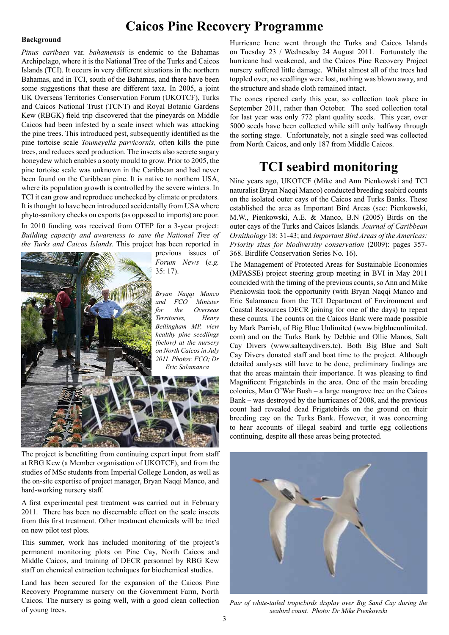### **Caicos Pine Recovery Programme**

#### **Background**

*Pinus caribaea* var. *bahamensis* is endemic to the Bahamas Archipelago, where it is the National Tree of the Turks and Caicos Islands (TCI). It occurs in very different situations in the northern Bahamas, and in TCI, south of the Bahamas, and there have been some suggestions that these are different taxa. In 2005, a joint UK Overseas Territories Conservation Forum (UKOTCF), Turks and Caicos National Trust (TCNT) and Royal Botanic Gardens Kew (RBGK) field trip discovered that the pineyards on Middle Caicos had been infested by a scale insect which was attacking the pine trees. This introduced pest, subsequently identified as the pine tortoise scale *Toumeyella parvicornis*, often kills the pine trees, and reduces seed production. The insects also secrete sugary honeydew which enables a sooty mould to grow. Prior to 2005, the pine tortoise scale was unknown in the Caribbean and had never been found on the Caribbean pine. It is native to northern USA, where its population growth is controlled by the severe winters. In TCI it can grow and reproduce unchecked by climate or predators. It is thought to have been introduced accidentally from USA where phyto-sanitory checks on exports (as opposed to imports) are poor. In 2010 funding was received from OTEP for a 3-year project: *Building capacity and awareness to save the National Tree of* 

*the Turks and Caicos Islands*. This project has been reported in previous issues of *Forum News* (*e.g.* 35: 17). *Bryan Naqqi Manco and FCO Minister for the Overseas Territories, Henry Bellingham MP, view healthy pine seedlings (below) at the nursery on North Caicos in July 2011. Photos: FCO; Dr Eric Salamanca*

The project is benefitting from continuing expert input from staff at RBG Kew (a Member organisation of UKOTCF), and from the studies of MSc students from Imperial College London, as well as the on-site expertise of project manager, Bryan Naqqi Manco, and hard-working nursery staff.

A first experimental pest treatment was carried out in February 2011. There has been no discernable effect on the scale insects from this first treatment. Other treatment chemicals will be tried on new pilot test plots.

This summer, work has included monitoring of the project's permanent monitoring plots on Pine Cay, North Caicos and Middle Caicos, and training of DECR personnel by RBG Kew staff on chemical extraction techniques for biochemical studies.

Land has been secured for the expansion of the Caicos Pine Recovery Programme nursery on the Government Farm, North Caicos. The nursery is going well, with a good clean collection of young trees.

Hurricane Irene went through the Turks and Caicos Islands on Tuesday 23 / Wednesday 24 August 2011. Fortunately the hurricane had weakened, and the Caicos Pine Recovery Project nursery suffered little damage. Whilst almost all of the trees had toppled over, no seedlings were lost, nothing was blown away, and the structure and shade cloth remained intact.

The cones ripened early this year, so collection took place in September 2011, rather than October. The seed collection total for last year was only 772 plant quality seeds. This year, over 5000 seeds have been collected while still only halfway through the sorting stage. Unfortunately, not a single seed was collected from North Caicos, and only 187 from Middle Caicos.

### **TCI seabird monitoring**

Nine years ago, UKOTCF (Mike and Ann Pienkowski and TCI naturalist Bryan Naqqi Manco) conducted breeding seabird counts on the isolated outer cays of the Caicos and Turks Banks. These established the area as Important Bird Areas (see: Pienkowski, M.W., Pienkowski, A.E. & Manco, B.N (2005) Birds on the outer cays of the Turks and Caicos Islands. *Journal of Caribbean Ornithology* 18: 31-43; and *Important Bird Areas of the Americas: Priority sites for biodiversity conservation* (2009): pages 357- 368. Birdlife Conservation Series No. 16).

The Management of Protected Areas for Sustainable Economies (MPASSE) project steering group meeting in BVI in May 2011 coincided with the timing of the previous counts, so Ann and Mike Pienkowski took the opportunity (with Bryan Naqqi Manco and Eric Salamanca from the TCI Department of Environment and Coastal Resources DECR joining for one of the days) to repeat these counts. The counts on the Caicos Bank were made possible by Mark Parrish, of Big Blue Unlimited (www.bigblueunlimited. com) and on the Turks Bank by Debbie and Ollie Manos, Salt Cay Divers (www.saltcaydivers.tc). Both Big Blue and Salt Cay Divers donated staff and boat time to the project. Although detailed analyses still have to be done, preliminary findings are that the areas maintain their importance. It was pleasing to find Magnificent Frigatebirds in the area. One of the main breeding colonies, Man O'War Bush – a large mangrove tree on the Caicos Bank – was destroyed by the hurricanes of 2008, and the previous count had revealed dead Frigatebirds on the ground on their breeding cay on the Turks Bank. However, it was concerning to hear accounts of illegal seabird and turtle egg collections continuing, despite all these areas being protected.



*Pair of white-tailed tropicbirds display over Big Sand Cay during the seabird count. Photo: Dr Mike Pienkowski*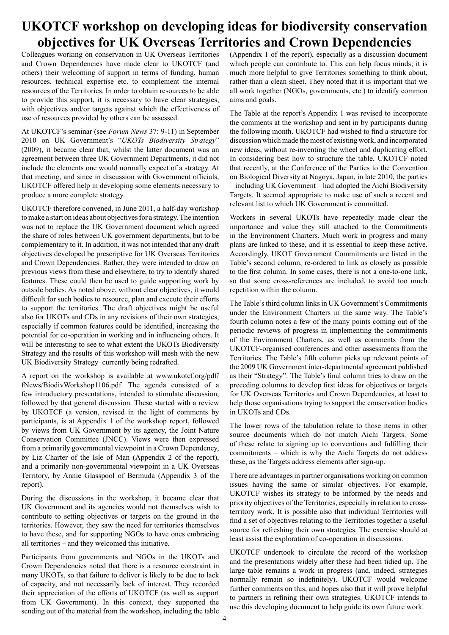# **UKOTCF workshop on developing ideas for biodiversity conservation objectives for UK Overseas Territories and Crown Dependencies**

Colleagues working on conservation in UK Overseas Territories and Crown Dependencies have made clear to UKOTCF (and others) their welcoming of support in terms of funding, human resources, technical expertise etc. to complement the internal resources of the Territories. In order to obtain resources to be able to provide this support, it is necessary to have clear strategies, with objectives and/or targets against which the effectiveness of use of resources provided by others can be assessed.

At UKOTCF's seminar (see *Forum News* 37: 9-11) in September 2010 on UK Government's "*UKOTs Biodiversity Strategy*" (2009), it became clear that, whilst the latter document was an agreement between three UK Government Departments, it did not include the elements one would normally expect of a strategy. At that meeting, and since in discussion with Government officials, UKOTCF offered help in developing some elements necessary to produce a more complete strategy.

UKOTCF therefore convened, in June 2011, a half-day workshop to make a start on ideas about objectives for a strategy. The intention was not to replace the UK Government document which agreed the share of roles between UK government departments, but to be complementary to it. In addition, it was not intended that any draft objectives developed be prescriptive for UK Overseas Territories and Crown Dependencies. Rather, they were intended to draw on previous views from these and elsewhere, to try to identify shared features. These could then be used to guide supporting work by outside bodies. As noted above, without clear objectives, it would difficult for such bodies to resource, plan and execute their efforts to support the territories. The draft objectives might be useful also for UKOTs and CDs in any revisions of their own strategies, especially if common features could be identified, increasing the potential for co-operation in working and in influencing others. It will be interesting to see to what extent the UKOTs Biodiversity Strategy and the results of this workshop will mesh with the new UK Biodiversity Strategy currently being redrafted.

A report on the workshop is available at www.ukotcf.org/pdf/ fNews/BiodivWorkshop1106.pdf. The agenda consisted of a few introductory presentations, intended to stimulate discussion, followed by that general discussion. These started with a review by UKOTCF (a version, revised in the light of comments by participants, is at Appendix 1 of the workshop report, followed by views from UK Government by its agency, the Joint Nature Conservation Committee (JNCC). Views were then expressed from a primarily governmental viewpoint in a Crown Dependency, by Liz Charter of the Isle of Man (Appendix 2 of the report), and a primarily non-governmental viewpoint in a UK Overseas Territory, by Annie Glasspool of Bermuda (Appendix 3 of the report).

During the discussions in the workshop, it became clear that UK Government and its agencies would not themselves wish to contribute to setting objectives or targets on the ground in the territories. However, they saw the need for territories themselves to have these, and for supporting NGOs to have ones embracing all territories – and they welcomed this initiative.

Participants from governments and NGOs in the UKOTs and Crown Dependencies noted that there is a resource constraint in many UKOTs, so that failure to deliver is likely to be due to lack of capacity, and not necessarily lack of interest. They recorded their appreciation of the efforts of UKOTCF (as well as support from UK Government). In this context, they supported the sending out of the material from the workshop, including the table

(Appendix 1 of the report), especially as a discussion document which people can contribute to. This can help focus minds; it is much more helpful to give Territories something to think about, rather than a clean sheet. They noted that it is important that we all work together (NGOs, governments, etc.) to identify common aims and goals.

The Table at the report's Appendix 1 was revised to incorporate the comments at the workshop and sent in by participants during the following month. UKOTCF had wished to find a structure for discussion which made the most of existing work, and incorporated new ideas, without re-inventing the wheel and duplicating effort. In considering best how to structure the table, UKOTCF noted that recently, at the Conference of the Parties to the Convention on Biological Diversity at Nagoya, Japan, in late 2010, the parties – including UK Government – had adopted the Aichi Biodiversity Targets. It seemed appropriate to make use of such a recent and relevant list to which UK Government is committed.

Workers in several UKOTs have repeatedly made clear the importance and value they still attached to the Commitments in the Environment Charters. Much work in progress and many plans are linked to these, and it is essential to keep these active. Accordingly, UKOT Government Commitments are listed in the Table's second column, re-ordered to link as closely as possible to the first column. In some cases, there is not a one-to-one link, so that some cross-references are included, to avoid too much repetition within the column.

The Table's third column links in UK Government's Commitments under the Environment Charters in the same way. The Table's fourth column notes a few of the many points coming out of the periodic reviews of progress in implementing the commitments of the Environment Charters, as well as comments from the UKOTCF-organised conferences and other assessments from the Territories. The Table's fifth column picks up relevant points of the 2009 UK Government inter-departmental agreement published as their "Strategy". The Table's final column tries to draw on the preceding columns to develop first ideas for objectives or targets for UK Overseas Territories and Crown Dependencies, at least to help those organisations trying to support the conservation bodies in UKOTs and CDs.

The lower rows of the tabulation relate to those items in other source documents which do not match Aichi Targets. Some of these relate to signing up to conventions and fulfilling their commitments – which is why the Aichi Targets do not address these, as the Targets address elements after sign-up.

There are advantages in partner organisations working on common issues having the same or similar objectives. For example, UKOTCF wishes its strategy to be informed by the needs and priority objectives of the Territories, especially in relation to crossterritory work. It is possible also that individual Territories will find a set of objectives relating to the Territories together a useful source for refreshing their own strategies. The exercise should at least assist the exploration of co-operation in discussions.

UKOTCF undertook to circulate the record of the workshop and the presentations widely after these had been tidied up. The large table remains a work in progress (and, indeed, strategies normally remain so indefinitely). UKOTCF would welcome further comments on this, and hopes also that it will prove helpful to partners in refining their own strategies. UKOTCF intends to use this developing document to help guide its own future work.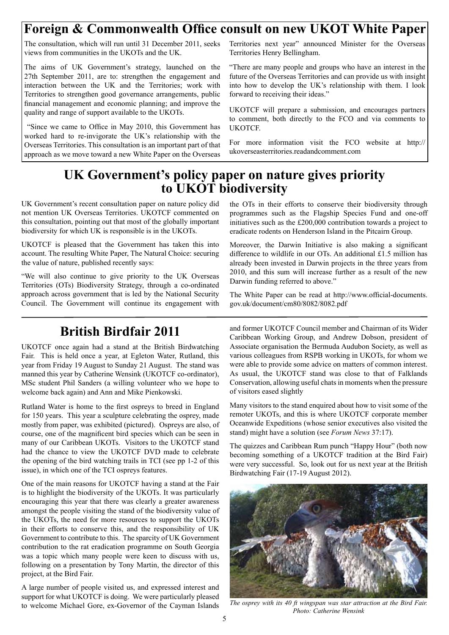# **Foreign & Commonwealth Office consult on new UKOT White Paper**

The consultation, which will run until 31 December 2011, seeks views from communities in the UKOTs and the UK.

The aims of UK Government's strategy, launched on the 27th September 2011, are to: strengthen the engagement and interaction between the UK and the Territories; work with Territories to strengthen good governance arrangements, public financial management and economic planning; and improve the quality and range of support available to the UKOTs.

 "Since we came to Office in May 2010, this Government has worked hard to re-invigorate the UK's relationship with the Overseas Territories. This consultation is an important part of that approach as we move toward a new White Paper on the Overseas

Territories next year" announced Minister for the Overseas Territories Henry Bellingham.

"There are many people and groups who have an interest in the future of the Overseas Territories and can provide us with insight into how to develop the UK's relationship with them. I look forward to receiving their ideas."

UKOTCF will prepare a submission, and encourages partners to comment, both directly to the FCO and via comments to UKOTCF.

For more information visit the FCO website at http:// ukoverseasterritories.readandcomment.com

# **UK Government's policy paper on nature gives priority to UKOT biodiversity**

UK Government's recent consultation paper on nature policy did not mention UK Overseas Territories. UKOTCF commented on this consultation, pointing out that most of the globally important biodiversity for which UK is responsible is in the UKOTs.

UKOTCF is pleased that the Government has taken this into account. The resulting White Paper, The Natural Choice: securing the value of nature, published recently says:

"We will also continue to give priority to the UK Overseas Territories (OTs) Biodiversity Strategy, through a co-ordinated approach across government that is led by the National Security Council. The Government will continue its engagement with

# **British Birdfair 2011**

UKOTCF once again had a stand at the British Birdwatching Fair. This is held once a year, at Egleton Water, Rutland, this year from Friday 19 August to Sunday 21 August. The stand was manned this year by Catherine Wensink (UKOTCF co-ordinator), MSc student Phil Sanders (a willing volunteer who we hope to welcome back again) and Ann and Mike Pienkowski.

Rutland Water is home to the first ospreys to breed in England for 150 years. This year a sculpture celebrating the osprey, made mostly from paper, was exhibited (pictured). Ospreys are also, of course, one of the magnificent bird species which can be seen in many of our Caribbean UKOTs. Visitors to the UKOTCF stand had the chance to view the UKOTCF DVD made to celebrate the opening of the bird watching trails in TCI (see pp 1-2 of this issue), in which one of the TCI ospreys features.

One of the main reasons for UKOTCF having a stand at the Fair is to highlight the biodiversity of the UKOTs. It was particularly encouraging this year that there was clearly a greater awareness amongst the people visiting the stand of the biodiversity value of the UKOTs, the need for more resources to support the UKOTs in their efforts to conserve this, and the responsibility of UK Government to contribute to this. The sparcity of UK Government contribution to the rat eradication programme on South Georgia was a topic which many people were keen to discuss with us, following on a presentation by Tony Martin, the director of this project, at the Bird Fair.

A large number of people visited us, and expressed interest and support for what UKOTCF is doing. We were particularly pleased to welcome Michael Gore, ex-Governor of the Cayman Islands

the OTs in their efforts to conserve their biodiversity through programmes such as the Flagship Species Fund and one-off initiatives such as the £200,000 contribution towards a project to eradicate rodents on Henderson Island in the Pitcairn Group.

Moreover, the Darwin Initiative is also making a significant difference to wildlife in our OTs. An additional £1.5 million has already been invested in Darwin projects in the three years from 2010, and this sum will increase further as a result of the new Darwin funding referred to above."

The White Paper can be read at http://www.official-documents. gov.uk/document/cm80/8082/8082.pdf

and former UKOTCF Council member and Chairman of its Wider Caribbean Working Group, and Andrew Dobson, president of Associate organisation the Bermuda Audubon Society, as well as various colleagues from RSPB working in UKOTs, for whom we were able to provide some advice on matters of common interest. As usual, the UKOTCF stand was close to that of Falklands Conservation, allowing useful chats in moments when the pressure of visitors eased slightly

Many visitors to the stand enquired about how to visit some of the remoter UKOTs, and this is where UKOTCF corporate member Oceanwide Expeditions (whose senior executives also visited the stand) might have a solution (see *Forum News* 37:17).

The quizzes and Caribbean Rum punch "Happy Hour" (both now becoming something of a UKOTCF tradition at the Bird Fair) were very successful. So, look out for us next year at the British Birdwatching Fair (17-19 August 2012).



*The osprey with its 40 ft wingspan was star attraction at the Bird Fair. Photo: Catherine Wensink*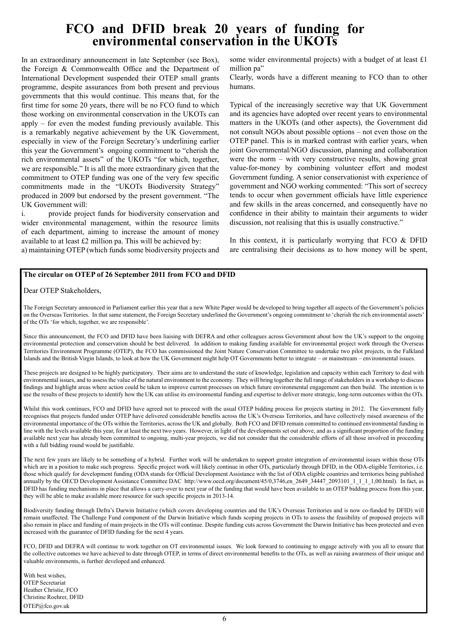# **FCO and DFID break 20 years of funding for environmental conservation in the UKOTs**

In an extraordinary announcement in late September (see Box), the Foreign & Commonwealth Office and the Department of International Development suspended their OTEP small grants programme, despite assurances from both present and previous governments that this would continue. This means that, for the first time for some 20 years, there will be no FCO fund to which those working on environmental conservation in the UKOTs can apply  $-$  for even the modest funding previously available. This is a remarkably negative achievement by the UK Government, especially in view of the Foreign Secretary's underlining earlier this year the Government's ongoing commitment to "cherish the rich environmental assets" of the UKOTs "for which, together, we are responsible." It is all the more extraordinary given that the commitment to OTEP funding was one of the very few specific commitments made in the "UKOTs Biodiversity Strategy" produced in 2009 but endorsed by the present government. "The UK Government will:

i. provide project funds for biodiversity conservation and wider environmental management, within the resource limits of each department, aiming to increase the amount of money available to at least £2 million pa. This will be achieved by:

a) maintaining OTEP (which funds some biodiversity projects and

some wider environmental projects) with a budget of at least £1 million pa"

Clearly, words have a different meaning to FCO than to other humans.

Typical of the increasingly secretive way that UK Government and its agencies have adopted over recent years to environmental matters in the UKOTs (and other aspects), the Government did not consult NGOs about possible options – not even those on the OTEP panel. This is in marked contrast with earlier years, when joint Governmental/NGO discussion, planning and collaboration were the norm – with very constructive results, showing great value-for-money by combining volunteer effort and modest Government funding. A senior conservationist with experience of government and NGO working commented: "This sort of secrecy tends to occur when government officials have little experience and few skills in the areas concerned, and consequently have no confidence in their ability to maintain their arguments to wider discussion, not realising that this is usually constructive."

In this context, it is particularly worrying that  $FCO & DFID$ are centralising their decisions as to how money will be spent,

#### **The circular on OTEP of 26 September 2011 from FCO and DFID**

Dear OTEP Stakeholders,

The Foreign Secretary announced in Parliament earlier this year that a new White Paper would be developed to bring together all aspects of the Government's policies on the Overseas Territories. In that same statement, the Foreign Secretary underlined the Government's ongoing commitment to 'cherish the rich environmental assets' of the OTs 'for which, together, we are responsible'.

Since this announcement, the FCO and DFID have been liaising with DEFRA and other colleagues across Government about how the UK's support to the ongoing environmental protection and conservation should be best delivered. In addition to making funding available for environmental project work through the Overseas Territories Environment Programme (OTEP), the FCO has commissioned the Joint Nature Conservation Committee to undertake two pilot projects, in the Falkland Islands and the British Virgin Islands, to look at how the UK Government might help OT Governments better to integrate – or mainstream – environmental issues.

These projects are designed to be highly participatory. Their aims are to understand the state of knowledge, legislation and capacity within each Territory to deal with environmental issues, and to assess the value of the natural environment to the economy. They will bring together the full range of stakeholders in a workshop to discuss findings and highlight areas where action could be taken to improve current processes on which future environmental engagement can then build. The intention is to use the results of these projects to identify how the UK can utilise its environmental funding and expertise to deliver more strategic, long-term outcomes within the OTs.

Whilst this work continues, FCO and DFID have agreed not to proceed with the usual OTEP bidding process for projects starting in 2012. The Government fully recognises that projects funded under OTEP have delivered considerable benefits across the UK's Overseas Territories, and have collectively raised awareness of the environmental importance of the OTs within the Territories, across the UK and globally. Both FCO and DFID remain committed to continued environmental funding in line with the levels available this year, for at least the next two years. However, in light of the developments set out above, and as a significant proportion of the funding available next year has already been committed to ongoing, multi-year projects, we did not consider that the considerable efforts of all those involved in proceeding with a full bidding round would be justifiable.

The next few years are likely to be something of a hybrid. Further work will be undertaken to support greater integration of environmental issues within those OTs which are in a position to make such progress. Specific project work will likely continue in other OTs, particularly through DFID, in the ODA-eligible Territories, i.e. those which qualify for development funding (ODA stands for Official Development Assistance with the list of ODA eligible countries and territories being published annually by the OECD Development Assistance Committee DAC http://www.oecd.org/document/45/0,3746,en\_2649\_34447\_2093101\_1\_1\_1\_1,00.html). In fact, as DFID has funding mechanisms in place that allows a carry-over to next year of the funding that would have been available to an OTEP bidding process from this year, they will be able to make available more resource for such specific projects in 2013-14.

Biodiversity funding through Defra's Darwin Initiative (which covers developing countries and the UK's Overseas Territories and is now co-funded by DFID) will remain unaffected. The Challenge Fund component of the Darwin Initiative which funds scoping projects in OTs to assess the feasibility of proposed projects will also remain in place and funding of main projects in the OTs will continue. Despite funding cuts across Government the Darwin Initiative has been protected and even increased with the guarantee of DFID funding for the next 4 years.

FCO, DFID and DEFRA will continue to work together on OT environmental issues. We look forward to continuing to engage actively with you all to ensure that the collective outcomes we have achieved to date through OTEP, in terms of direct environmental benefits to the OTs, as well as raising awareness of their unique and valuable environments, is further developed and enhanced.

With best wishes, OTEP Secretariat Heather Christie, FCO Christine Roehrer, DFID OTEP@fco.gov.uk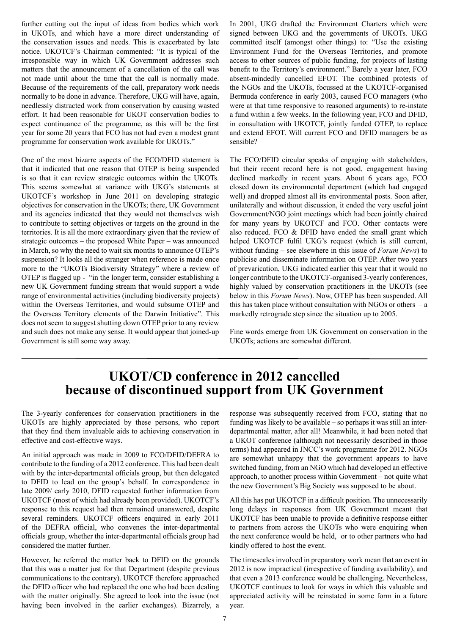further cutting out the input of ideas from bodies which work in UKOTs, and which have a more direct understanding of the conservation issues and needs. This is exacerbated by late notice. UKOTCF's Chairman commented: "It is typical of the irresponsible way in which UK Government addresses such matters that the announcement of a cancellation of the call was not made until about the time that the call is normally made. Because of the requirements of the call, preparatory work needs normally to be done in advance. Therefore, UKG will have, again, needlessly distracted work from conservation by causing wasted effort. It had been reasonable for UKOT conservation bodies to expect continuance of the programme, as this will be the first year for some 20 years that FCO has not had even a modest grant programme for conservation work available for UKOTs."

One of the most bizarre aspects of the FCO/DFID statement is that it indicated that one reason that OTEP is being suspended is so that it can review strategic outcomes within the UKOTs. This seems somewhat at variance with UKG's statements at UKOTCF's workshop in June 2011 on developing strategic objectives for conservation in the UKOTs; there, UK Government and its agencies indicated that they would not themselves wish to contribute to setting objectives or targets on the ground in the territories. It is all the more extraordinary given that the review of strategic outcomes – the proposed White Paper – was announced in March, so why the need to wait six months to announce OTEP's suspension? It looks all the stranger when reference is made once more to the "UKOTs Biodiversity Strategy" where a review of OTEP is flagged up - "in the longer term, consider establishing a new UK Government funding stream that would support a wide range of environmental activities (including biodiversity projects) within the Overseas Territories, and would subsume OTEP and the Overseas Territory elements of the Darwin Initiative". This does not seem to suggest shutting down OTEP prior to any review and such does not make any sense. It would appear that joined-up Government is still some way away.

In 2001, UKG drafted the Environment Charters which were signed between UKG and the governments of UKOTs. UKG committed itself (amongst other things) to: "Use the existing Environment Fund for the Overseas Territories, and promote access to other sources of public funding, for projects of lasting benefit to the Territory's environment." Barely a year later, FCO absent-mindedly cancelled EFOT. The combined protests of the NGOs and the UKOTs, focussed at the UKOTCF-organised Bermuda conference in early 2003, caused FCO managers (who were at that time responsive to reasoned arguments) to re-instate a fund within a few weeks. In the following year, FCO and DFID, in consultation with UKOTCF, jointly funded OTEP, to replace and extend EFOT. Will current FCO and DFID managers be as sensible?

The FCO/DFID circular speaks of engaging with stakeholders, but their recent record here is not good, engagement having declined markedly in recent years. About 6 years ago, FCO closed down its environmental department (which had engaged well) and dropped almost all its environmental posts. Soon after, unilaterally and without discussion, it ended the very useful joint Government/NGO joint meetings which had been jointly chaired for many years by UKOTCF and FCO. Other contacts were also reduced. FCO & DFID have ended the small grant which helped UKOTCF fulfil UKG's request (which is still current, without funding – see elsewhere in this issue of *Forum News*) to publicise and disseminate information on OTEP. After two years of prevarication, UKG indicated earlier this year that it would no longer contribute to the UKOTCF-organised 3-yearly conferences, highly valued by conservation practitioners in the UKOTs (see below in this *Forum News*). Now, OTEP has been suspended. All this has taken place without consultation with NGOs or others  $-$  a markedly retrograde step since the situation up to 2005.

Fine words emerge from UK Government on conservation in the UKOTs; actions are somewhat different.

### **UKOT/CD conference in 2012 cancelled because of discontinued support from UK Government**

The 3-yearly conferences for conservation practitioners in the UKOTs are highly appreciated by these persons, who report that they find them invaluable aids to achieving conservation in effective and cost-effective ways.

An initial approach was made in 2009 to FCO/DFID/DEFRA to contribute to the funding of a 2012 conference. This had been dealt with by the inter-departmental officials group, but then delegated to DFID to lead on the group's behalf. In correspondence in late 2009/ early 2010, DFID requested further information from UKOTCF (most of which had already been provided). UKOTCF's response to this request had then remained unanswered, despite several reminders. UKOTCF officers enquired in early 2011 of the DEFRA official, who convenes the inter-departmental officials group, whether the inter-departmental officials group had considered the matter further.

However, he referred the matter back to DFID on the grounds that this was a matter just for that Department (despite previous communications to the contrary). UKOTCF therefore approached the DFID officer who had replaced the one who had been dealing with the matter originally. She agreed to look into the issue (not having been involved in the earlier exchanges). Bizarrely, a

response was subsequently received from FCO, stating that no funding was likely to be available – so perhaps it was still an interdepartmental matter, after all! Meanwhile, it had been noted that a UKOT conference (although not necessarily described in those terms) had appeared in JNCC's work programme for 2012. NGOs are somewhat unhappy that the government appears to have switched funding, from an NGO which had developed an effective approach, to another process within Government – not quite what the new Government's Big Society was supposed to be about.

All this has put UKOTCF in a difficult position. The unnecessarily long delays in responses from UK Government meant that UKOTCF has been unable to provide a definitive response either to partners from across the UKOTs who were enquiring when the next conference would be held, or to other partners who had kindly offered to host the event.

The timescales involved in preparatory work mean that an event in 2012 is now impractical (irrespective of funding availability), and that even a 2013 conference would be challenging. Nevertheless, UKOTCF continues to look for ways in which this valuable and appreciated activity will be reinstated in some form in a future year.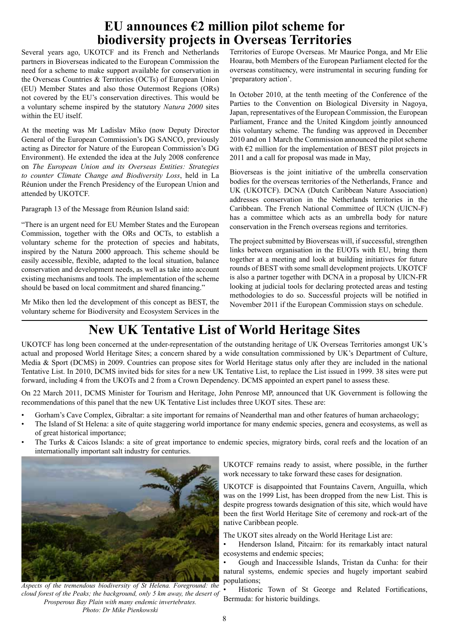## **EU announces €2 million pilot scheme for biodiversity projects in Overseas Territories**

Several years ago, UKOTCF and its French and Netherlands partners in Bioverseas indicated to the European Commission the need for a scheme to make support available for conservation in the Overseas Countries & Territories (OCTs) of European Union (EU) Member States and also those Outermost Regions (ORs) not covered by the EU's conservation directives. This would be a voluntary scheme inspired by the statutory *Natura 2000* sites within the EU itself.

At the meeting was Mr Ladislav Miko (now Deputy Director General of the European Commission's DG SANCO, previously acting as Director for Nature of the European Commission's DG Environment). He extended the idea at the July 2008 conference on *The European Union and its Overseas Entities: Strategies to counter Climate Change and Biodiversity Loss*, held in La Réunion under the French Presidency of the European Union and attended by UKOTCF.

Paragraph 13 of the Message from Réunion Island said:

"There is an urgent need for EU Member States and the European Commission, together with the ORs and OCTs, to establish a voluntary scheme for the protection of species and habitats, inspired by the Natura 2000 approach. This scheme should be easily accessible, flexible, adapted to the local situation, balance conservation and development needs, as well as take into account existing mechanisms and tools. The implementation of the scheme should be based on local commitment and shared financing."

Mr Miko then led the development of this concept as BEST, the voluntary scheme for Biodiversity and Ecosystem Services in the

Territories of Europe Overseas. Mr Maurice Ponga, and Mr Elie Hoarau, both Members of the European Parliament elected for the overseas constituency, were instrumental in securing funding for 'preparatory action'.

In October 2010, at the tenth meeting of the Conference of the Parties to the Convention on Biological Diversity in Nagoya, Japan, representatives of the European Commission, the European Parliament, France and the United Kingdom jointly announced this voluntary scheme. The funding was approved in December 2010 and on 1 March the Commission announced the pilot scheme with  $E2$  million for the implementation of BEST pilot projects in 2011 and a call for proposal was made in May,

Bioverseas is the joint initiative of the umbrella conservation bodies for the overseas territories of the Netherlands, France and UK (UKOTCF). DCNA (Dutch Caribbean Nature Association) addresses conservation in the Netherlands territories in the Caribbean. The French National Committee of IUCN (UICN-F) has a committee which acts as an umbrella body for nature conservation in the French overseas regions and territories.

The project submitted by Bioverseas will, if successful, strengthen links between organisation in the EUOTs with EU, bring them together at a meeting and look at building initiatives for future rounds of BEST with some small development projects. UKOTCF is also a partner together with DCNA in a proposal by UICN-FR looking at judicial tools for declaring protected areas and testing methodologies to do so. Successful projects will be notified in November 2011 if the European Commission stays on schedule.

# **New UK Tentative List of World Heritage Sites**

UKOTCF has long been concerned at the under-representation of the outstanding heritage of UK Overseas Territories amongst UK's actual and proposed World Heritage Sites; a concern shared by a wide consultation commissioned by UK's Department of Culture, Media & Sport (DCMS) in 2009. Countries can propose sites for World Heritage status only after they are included in the national Tentative List. In 2010, DCMS invited bids for sites for a new UK Tentative List, to replace the List issued in 1999. 38 sites were put forward, including 4 from the UKOTs and 2 from a Crown Dependency. DCMS appointed an expert panel to assess these.

On 22 March 2011, DCMS Minister for Tourism and Heritage, John Penrose MP, announced that UK Government is following the recommendations of this panel that the new UK Tentative List includes three UKOT sites. These are:

- Gorham's Cave Complex, Gibraltar: a site important for remains of Neanderthal man and other features of human archaeology;
- The Island of St Helena: a site of quite staggering world importance for many endemic species, genera and ecosystems, as well as of great historical importance;
- The Turks & Caicos Islands: a site of great importance to endemic species, migratory birds, coral reefs and the location of an internationally important salt industry for centuries.



*Aspects of the tremendous biodiversity of St Helena. Foreground: the cloud forest of the Peaks; the background, only 5 km away, the desert of Prosperous Bay Plain with many endemic invertebrates. Photo: Dr Mike Pienkowski*

UKOTCF remains ready to assist, where possible, in the further work necessary to take forward these cases for designation.

UKOTCF is disappointed that Fountains Cavern, Anguilla, which was on the 1999 List, has been dropped from the new List. This is despite progress towards designation of this site, which would have been the first World Heritage Site of ceremony and rock-art of the native Caribbean people.

The UKOT sites already on the World Heritage List are:

• Henderson Island, Pitcairn: for its remarkably intact natural ecosystems and endemic species;

• Gough and Inaccessible Islands, Tristan da Cunha: for their natural systems, endemic species and hugely important seabird populations;

Historic Town of St George and Related Fortifications, Bermuda: for historic buildings.

8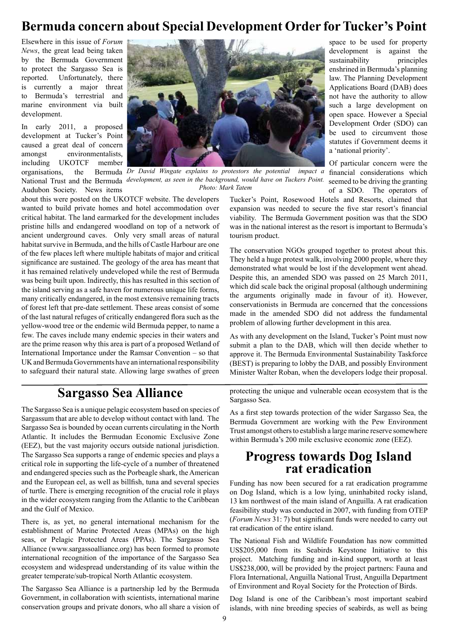# **Bermuda concern about Special Development Order for Tucker's Point**

Elsewhere in this issue of *Forum News*, the great lead being taken by the Bermuda Government to protect the Sargasso Sea is reported. Unfortunately, there is currently a major threat to Bermuda's terrestrial and marine environment via built development.

In early 2011, a proposed development at Tucker's Point caused a great deal of concern amongst environmentalists, including UKOTCF member organisations, the Audubon Society. News items



National Trust and the Bermuda *development, as seen in the background, would have on Tuckers Point.* seemed to be driving the granting Dr David Wingate explains to protestors the potential impact a financial considerations which *Photo: Mark Tatem*

about this were posted on the UKOTCF website. The developers wanted to build private homes and hotel accommodation over critical habitat. The land earmarked for the development includes pristine hills and endangered woodland on top of a network of ancient underground caves. Only very small areas of natural habitat survive in Bermuda, and the hills of Castle Harbour are one of the few places left where multiple habitats of major and critical significance are sustained. The geology of the area has meant that it has remained relatively undeveloped while the rest of Bermuda was being built upon. Indirectly, this has resulted in this section of the island serving as a safe haven for numerous unique life forms, many critically endangered, in the most extensive remaining tracts of forest left that pre-date settlement. These areas consist of some of the last natural refuges of critically endangered flora such as the yellow-wood tree or the endemic wild Bermuda pepper, to name a few. The caves include many endemic species in their waters and are the prime reason why this area is part of a proposed Wetland of International Importance under the Ramsar Convention – so that UK and Bermuda Governments have an international responsibility to safeguard their natural state. Allowing large swathes of green

of a SDO. The operators of Tucker's Point, Rosewood Hotels and Resorts, claimed that expansion was needed to secure the five star resort's financial viability. The Bermuda Government position was that the SDO was in the national interest as the resort is important to Bermuda's tourism product.

space to be used for property development is against the sustainability principles enshrined in Bermuda's planning law. The Planning Development Applications Board (DAB) does not have the authority to allow such a large development on open space. However a Special Development Order (SDO) can be used to circumvent those statutes if Government deems it

a 'national priority'.

Of particular concern were the

The conservation NGOs grouped together to protest about this. They held a huge protest walk, involving 2000 people, where they demonstrated what would be lost if the development went ahead. Despite this, an amended SDO was passed on 25 March 2011, which did scale back the original proposal (although undermining the arguments originally made in favour of it). However, conservationists in Bermuda are concerned that the concessions made in the amended SDO did not address the fundamental problem of allowing further development in this area.

As with any development on the Island, Tucker's Point must now submit a plan to the DAB, which will then decide whether to approve it. The Bermuda Environmental Sustainability Taskforce (BEST) is preparing to lobby the DAB, and possibly Environment Minister Walter Roban, when the developers lodge their proposal.

# **Sargasso Sea Alliance**

The Sargasso Sea is a unique pelagic ecosystem based on species of Sargassum that are able to develop without contact with land. The Sargasso Sea is bounded by ocean currents circulating in the North Atlantic. It includes the Bermudan Economic Exclusive Zone (EEZ), but the vast majority occurs outside national jurisdiction. The Sargasso Sea supports a range of endemic species and plays a critical role in supporting the life-cycle of a number of threatened and endangered species such as the Porbeagle shark, the American and the European eel, as well as billfish, tuna and several species of turtle. There is emerging recognition of the crucial role it plays in the wider ecosystem ranging from the Atlantic to the Caribbean and the Gulf of Mexico.

There is, as yet, no general international mechanism for the establishment of Marine Protected Areas (MPAs) on the high seas, or Pelagic Protected Areas (PPAs). The Sargasso Sea Alliance (www.sargassoalliance.org) has been formed to promote international recognition of the importance of the Sargasso Sea ecosystem and widespread understanding of its value within the greater temperate/sub-tropical North Atlantic ecosystem.

The Sargasso Sea Alliance is a partnership led by the Bermuda Government, in collaboration with scientists, international marine conservation groups and private donors, who all share a vision of

protecting the unique and vulnerable ocean ecosystem that is the Sargasso Sea.

As a first step towards protection of the wider Sargasso Sea, the Bermuda Government are working with the Pew Environment Trust amongst others to establish a large marine reserve somewhere within Bermuda's 200 mile exclusive economic zone (EEZ).

# **Progress towards Dog Island rat eradication**

Funding has now been secured for a rat eradication programme on Dog Island, which is a low lying, uninhabited rocky island, 13 km northwest of the main island of Anguilla. A rat eradication feasibility study was conducted in 2007, with funding from OTEP (*Forum News* 31: 7) but significant funds were needed to carry out rat eradication of the entire island.

The National Fish and Wildlife Foundation has now committed US\$205,000 from its Seabirds Keystone Initiative to this project. Matching funding and in-kind support, worth at least US\$238,000, will be provided by the project partners: Fauna and Flora International, Anguilla National Trust, Anguilla Department of Environment and Royal Society for the Protection of Birds.

Dog Island is one of the Caribbean's most important seabird islands, with nine breeding species of seabirds, as well as being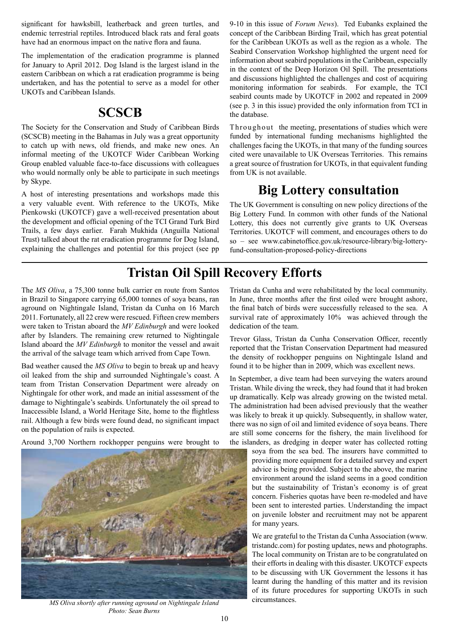significant for hawksbill, leatherback and green turtles, and endemic terrestrial reptiles. Introduced black rats and feral goats have had an enormous impact on the native flora and fauna.

The implementation of the eradication programme is planned for January to April 2012. Dog Island is the largest island in the eastern Caribbean on which a rat eradication programme is being undertaken, and has the potential to serve as a model for other UKOTs and Caribbean Islands.

### **SCSCB**

The Society for the Conservation and Study of Caribbean Birds (SCSCB) meeting in the Bahamas in July was a great opportunity to catch up with news, old friends, and make new ones. An informal meeting of the UKOTCF Wider Caribbean Working Group enabled valuable face-to-face discussions with colleagues who would normally only be able to participate in such meetings by Skype.

A host of interesting presentations and workshops made this a very valuable event. With reference to the UKOTs, Mike Pienkowski (UKOTCF) gave a well-received presentation about the development and official opening of the TCI Grand Turk Bird Trails, a few days earlier. Farah Mukhida (Anguilla National Trust) talked about the rat eradication programme for Dog Island, explaining the challenges and potential for this project (see pp 9-10 in this issue of *Forum News*). Ted Eubanks explained the concept of the Caribbean Birding Trail, which has great potential for the Caribbean UKOTs as well as the region as a whole. The Seabird Conservation Workshop highlighted the urgent need for information about seabird populations in the Caribbean, especially in the context of the Deep Horizon Oil Spill. The presentations and discussions highlighted the challenges and cost of acquiring monitoring information for seabirds. For example, the TCI seabird counts made by UKOTCF in 2002 and repeated in 2009 (see p. 3 in this issue) provided the only information from TCI in the database.

Throughout the meeting, presentations of studies which were funded by international funding mechanisms highlighted the challenges facing the UKOTs, in that many of the funding sources cited were unavailable to UK Overseas Territories. This remains a great source of frustration for UKOTs, in that equivalent funding from UK is not available.

## **Big Lottery consultation**

The UK Government is consulting on new policy directions of the Big Lottery Fund. In common with other funds of the National Lottery, this does not currently give grants to UK Overseas Territories. UKOTCF will comment, and encourages others to do so – see www.cabinetoffice.gov.uk/resource-library/big-lotteryfund-consultation-proposed-policy-directions

# **Tristan Oil Spill Recovery Efforts**

The *MS Oliva*, a 75,300 tonne bulk carrier en route from Santos in Brazil to Singapore carrying 65,000 tonnes of soya beans, ran aground on Nightingale Island, Tristan da Cunha on 16 March 2011. Fortunately, all 22 crew were rescued. Fifteen crew members were taken to Tristan aboard the *MV Edinburgh* and were looked after by Islanders. The remaining crew returned to Nightingale Island aboard the *MV Edinburgh* to monitor the vessel and await the arrival of the salvage team which arrived from Cape Town.

Bad weather caused the *MS Oliva* to begin to break up and heavy oil leaked from the ship and surrounded Nightingale's coast. A team from Tristan Conservation Department were already on Nightingale for other work, and made an initial assessment of the damage to Nightingale's seabirds. Unfortunately the oil spread to Inaccessible Island, a World Heritage Site, home to the flightless rail. Although a few birds were found dead, no significant impact on the population of rails is expected.

Around 3,700 Northern rockhopper penguins were brought to



*MS Oliva shortly after running aground on Nightingale Island Photo: Sean Burns* 

Tristan da Cunha and were rehabilitated by the local community. In June, three months after the first oiled were brought ashore, the final batch of birds were successfully released to the sea. A survival rate of approximately 10% was achieved through the dedication of the team.

Trevor Glass, Tristan da Cunha Conservation Officer, recently reported that the Tristan Conservation Department had measured the density of rockhopper penguins on Nightingale Island and found it to be higher than in 2009, which was excellent news.

In September, a dive team had been surveying the waters around Tristan. While diving the wreck, they had found that it had broken up dramatically. Kelp was already growing on the twisted metal. The administration had been advised previously that the weather was likely to break it up quickly. Subsequently, in shallow water, there was no sign of oil and limited evidence of soya beans. There are still some concerns for the fishery, the main livelihood for the islanders, as dredging in deeper water has collected rotting

soya from the sea bed. The insurers have committed to providing more equipment for a detailed survey and expert advice is being provided. Subject to the above, the marine environment around the island seems in a good condition but the sustainability of Tristan's economy is of great concern. Fisheries quotas have been re-modeled and have been sent to interested parties. Understanding the impact on juvenile lobster and recruitment may not be apparent for many years.

We are grateful to the Tristan da Cunha Association (www. tristandc.com) for posting updates, news and photographs. The local community on Tristan are to be congratulated on their efforts in dealing with this disaster. UKOTCF expects to be discussing with UK Government the lessons it has learnt during the handling of this matter and its revision of its future procedures for supporting UKOTs in such circumstances.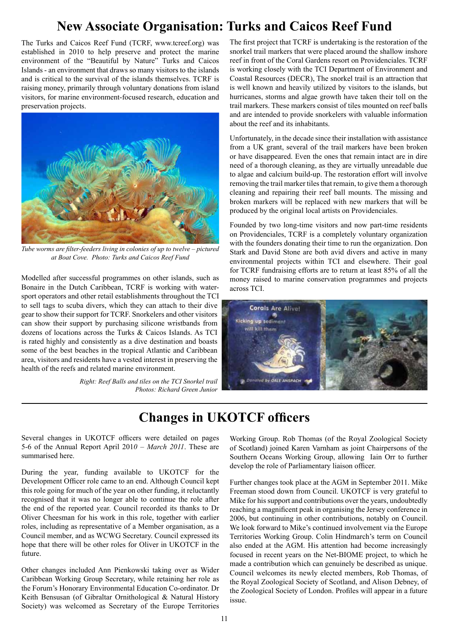# **New Associate Organisation: Turks and Caicos Reef Fund**

The Turks and Caicos Reef Fund (TCRF, www.tcreef.org) was established in 2010 to help preserve and protect the marine environment of the "Beautiful by Nature" Turks and Caicos Islands - an environment that draws so many visitors to the islands and is critical to the survival of the islands themselves. TCRF is raising money, primarily through voluntary donations from island visitors, for marine environment-focused research, education and preservation projects.



*Tube worms are filter-feeders living in colonies of up to twelve – pictured at Boat Cove. Photo: Turks and Caicos Reef Fund* 

Modelled after successful programmes on other islands, such as Bonaire in the Dutch Caribbean, TCRF is working with watersport operators and other retail establishments throughout the TCI to sell tags to scuba divers, which they can attach to their dive gear to show their support for TCRF. Snorkelers and other visitors can show their support by purchasing silicone wristbands from dozens of locations across the Turks & Caicos Islands. As TCI is rated highly and consistently as a dive destination and boasts some of the best beaches in the tropical Atlantic and Caribbean area, visitors and residents have a vested interest in preserving the health of the reefs and related marine environment.

> *Right: Reef Balls and tiles on the TCI Snorkel trail Photos: Richard Green Junior*

The first project that TCRF is undertaking is the restoration of the snorkel trail markers that were placed around the shallow inshore reef in front of the Coral Gardens resort on Providenciales. TCRF is working closely with the TCI Department of Environment and Coastal Resources (DECR), The snorkel trail is an attraction that is well known and heavily utilized by visitors to the islands, but hurricanes, storms and algae growth have taken their toll on the trail markers. These markers consist of tiles mounted on reef balls and are intended to provide snorkelers with valuable information about the reef and its inhabitants.

Unfortunately, in the decade since their installation with assistance from a UK grant, several of the trail markers have been broken or have disappeared. Even the ones that remain intact are in dire need of a thorough cleaning, as they are virtually unreadable due to algae and calcium build-up. The restoration effort will involve removing the trail marker tiles that remain, to give them a thorough cleaning and repairing their reef ball mounts. The missing and broken markers will be replaced with new markers that will be produced by the original local artists on Providenciales.

Founded by two long-time visitors and now part-time residents on Providenciales, TCRF is a completely voluntary organization with the founders donating their time to run the organization. Don Stark and David Stone are both avid divers and active in many environmental projects within TCI and elsewhere. Their goal for TCRF fundraising efforts are to return at least 85% of all the money raised to marine conservation programmes and projects across TCI.



# **Changes in UKOTCF officers**

Several changes in UKOTCF officers were detailed on pages 5-6 of the Annual Report April 201*0 – March 2011*. These are summarised here.

During the year, funding available to UKOTCF for the Development Officer role came to an end. Although Council kept this role going for much of the year on other funding, it reluctantly recognised that it was no longer able to continue the role after the end of the reported year. Council recorded its thanks to Dr Oliver Cheesman for his work in this role, together with earlier roles, including as representative of a Member organisation, as a Council member, and as WCWG Secretary. Council expressed its hope that there will be other roles for Oliver in UKOTCF in the future.

Other changes included Ann Pienkowski taking over as Wider Caribbean Working Group Secretary, while retaining her role as the Forum's Honorary Environmental Education Co-ordinator. Dr Keith Bensusan (of Gibraltar Ornithological & Natural History Society) was welcomed as Secretary of the Europe Territories

Working Group. Rob Thomas (of the Royal Zoological Society of Scotland) joined Karen Varnham as joint Chairpersons of the Southern Oceans Working Group, allowing Iain Orr to further develop the role of Parliamentary liaison officer.

Further changes took place at the AGM in September 2011. Mike Freeman stood down from Council. UKOTCF is very grateful to Mike for his support and contributions over the years, undoubtedly reaching a magnificent peak in organising the Jersey conference in 2006, but continuing in other contributions, notably on Council. We look forward to Mike's continued involvement via the Europe Territories Working Group. Colin Hindmarch's term on Council also ended at the AGM. His attention had become increasingly focused in recent years on the Net-BIOME project, to which he made a contribution which can genuinely be described as unique. Council welcomes its newly elected members, Rob Thomas, of the Royal Zoological Society of Scotland, and Alison Debney, of the Zoological Society of London. Profiles will appear in a future issue.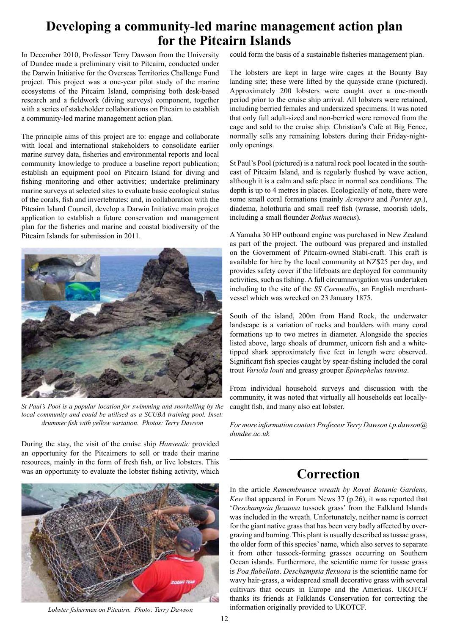## **Developing a community-led marine management action plan for the Pitcairn Islands**

In December 2010, Professor Terry Dawson from the University of Dundee made a preliminary visit to Pitcairn, conducted under the Darwin Initiative for the Overseas Territories Challenge Fund project. This project was a one-year pilot study of the marine ecosystems of the Pitcairn Island, comprising both desk-based research and a fieldwork (diving surveys) component, together with a series of stakeholder collaborations on Pitcairn to establish a community-led marine management action plan.

The principle aims of this project are to: engage and collaborate with local and international stakeholders to consolidate earlier marine survey data, fisheries and environmental reports and local community knowledge to produce a baseline report publication; establish an equipment pool on Pitcairn Island for diving and fishing monitoring and other activities; undertake preliminary marine surveys at selected sites to evaluate basic ecological status of the corals, fish and invertebrates; and, in collaboration with the Pitcairn Island Council, develop a Darwin Initiative main project application to establish a future conservation and management plan for the fisheries and marine and coastal biodiversity of the Pitcairn Islands for submission in 2011.



*St Paul's Pool is a popular location for swimming and snorkelling by the local community and could be utilised as a SCUBA training pool. Inset: drummer fish with yellow variation. Photos: Terry Dawson* 

During the stay, the visit of the cruise ship *Hanseatic* provided an opportunity for the Pitcairners to sell or trade their marine resources, mainly in the form of fresh fish, or live lobsters. This was an opportunity to evaluate the lobster fishing activity, which



*Lobster fishermen on Pitcairn. Photo: Terry Dawson* 

could form the basis of a sustainable fisheries management plan.

The lobsters are kept in large wire cages at the Bounty Bay landing site; these were lifted by the quayside crane (pictured). Approximately 200 lobsters were caught over a one-month period prior to the cruise ship arrival. All lobsters were retained, including berried females and undersized specimens. It was noted that only full adult-sized and non-berried were removed from the cage and sold to the cruise ship. Christian's Cafe at Big Fence, normally sells any remaining lobsters during their Friday-nightonly openings.

St Paul's Pool (pictured) is a natural rock pool located in the southeast of Pitcairn Island, and is regularly flushed by wave action, although it is a calm and safe place in normal sea conditions. The depth is up to 4 metres in places. Ecologically of note, there were some small coral formations (mainly *Acropora* and *Porites sp*.), diadema, holothuria and small reef fish (wrasse, moorish idols, including a small flounder *Bothus mancus*).

A Yamaha 30 HP outboard engine was purchased in New Zealand as part of the project. The outboard was prepared and installed on the Government of Pitcairn-owned Stabi-craft. This craft is available for hire by the local community at NZ\$25 per day, and provides safety cover if the lifeboats are deployed for community activities, such as fishing. A full circumnavigation was undertaken including to the site of the *SS Cornwallis*, an English merchantvessel which was wrecked on 23 January 1875.

South of the island, 200m from Hand Rock, the underwater landscape is a variation of rocks and boulders with many coral formations up to two metres in diameter. Alongside the species listed above, large shoals of drummer, unicorn fish and a whitetipped shark approximately five feet in length were observed. Significant fish species caught by spear-fishing included the coral trout *Variola louti* and greasy grouper *Epinephelus tauvina*.

From individual household surveys and discussion with the community, it was noted that virtually all households eat locallycaught fish, and many also eat lobster.

*For more information contact Professor Terry Dawson t.p.dawson@ dundee.ac.uk* 

### **Correction**

In the article *Remembrance wreath by Royal Botanic Gardens, Kew* that appeared in Forum News 37 (p.26), it was reported that '*Deschampsia flexuosa* tussock grass' from the Falkland Islands was included in the wreath. Unfortunately, neither name is correct for the giant native grass that has been very badly affected by overgrazing and burning. This plant is usually described as tussac grass, the older form of this species' name, which also serves to separate it from other tussock-forming grasses occurring on Southern Ocean islands. Furthermore, the scientific name for tussac grass is *Poa flabellata*. *Deschampsia flexuosa* is the scientific name for wavy hair-grass, a widespread small decorative grass with several cultivars that occurs in Europe and the Americas. UKOTCF thanks its friends at Falklands Conservation for correcting the information originally provided to UKOTCF.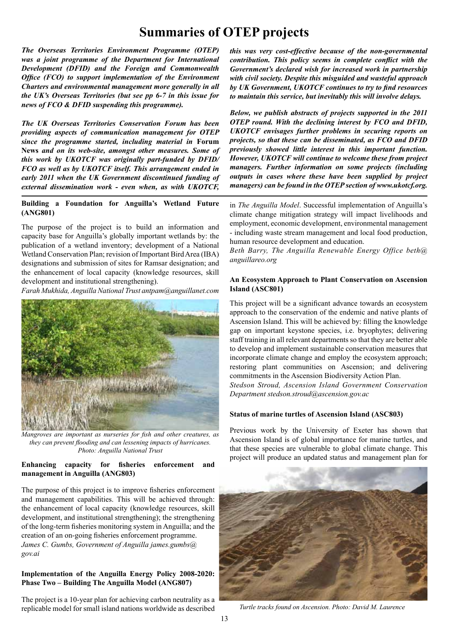# **Summaries of OTEP projects**

*The Overseas Territories Environment Programme (OTEP) was a joint programme of the Department for International Development (DFID) and the Foreign and Commonwealth Office (FCO) to support implementation of the Environment Charters and environmental management more generally in all the UK's Overseas Territories (but see pp 6-7 in this issue for news of FCO & DFID suspending this programme).* 

*The UK Overseas Territories Conservation Forum has been providing aspects of communication management for OTEP since the programme started, including material in* **Forum News** *and on its web-site, amongst other measures. Some of this work by UKOTCF was originally part-funded by DFID/ FCO as well as by UKOTCF itself. This arrangement ended in early 2011 when the UK Government discontinued funding of external dissemination work - even when, as with UKOTCF,* 

**Building a Foundation for Anguilla's Wetland Future (ANG801)**

The purpose of the project is to build an information and capacity base for Anguilla's globally important wetlands by: the publication of a wetland inventory; development of a National Wetland Conservation Plan; revision of Important Bird Area (IBA) designations and submission of sites for Ramsar designation; and the enhancement of local capacity (knowledge resources, skill development and institutional strengthening).

*Farah Mukhida, Anguilla National Trust antpam@anguillanet.com*



*Mangroves are important as nurseries for fish and other creatures, as they can prevent flooding and can lessening impacts of hurricanes. Photo: Anguilla National Trust* 

#### **Enhancing capacity for fisheries enforcement and management in Anguilla (ANG803)**

The purpose of this project is to improve fisheries enforcement and management capabilities. This will be achieved through: the enhancement of local capacity (knowledge resources, skill development, and institutional strengthening); the strengthening of the long-term fisheries monitoring system in Anguilla; and the creation of an on-going fisheries enforcement programme. *James C. Gumbs, Government of Anguilla james.gumbs@ gov.ai*

#### **Implementation of the Anguilla Energy Policy 2008-2020: Phase Two – Building The Anguilla Model (ANG807)**

The project is a 10-year plan for achieving carbon neutrality as a replicable model for small island nations worldwide as described

*this was very cost-effective because of the non-governmental contribution. This policy seems in complete conflict with the Government's declared wish for increased work in partnership with civil society. Despite this misguided and wasteful approach by UK Government, UKOTCF continues to try to find resources to maintain this service, but inevitably this will involve delays.* 

*Below, we publish abstracts of projects supported in the 2011 OTEP round. With the declining interest by FCO and DFID, UKOTCF envisages further problems in securing reports on projects, so that these can be disseminated, as FCO and DFID previously showed little interest in this important function. However, UKOTCF will continue to welcome these from project managers. Further information on some projects (including outputs in cases where these have been supplied by project managers) can be found in the OTEP section of www.ukotcf.org.* 

in *The Anguilla Model*. Successful implementation of Anguilla's climate change mitigation strategy will impact livelihoods and employment, economic development, environmental management - including waste stream management and local food production, human resource development and education.

*Beth Barry, The Anguilla Renewable Energy Office beth@ anguillareo.org*

#### **An Ecosystem Approach to Plant Conservation on Ascension Island (ASC801)**

This project will be a significant advance towards an ecosystem approach to the conservation of the endemic and native plants of Ascension Island. This will be achieved by: filling the knowledge gap on important keystone species, i.e. bryophytes; delivering staff training in all relevant departments so that they are better able to develop and implement sustainable conservation measures that incorporate climate change and employ the ecosystem approach; restoring plant communities on Ascension; and delivering commitments in the Ascension Biodiversity Action Plan.

*Stedson Stroud, Ascension Island Government Conservation Department stedson.stroud@ascension.gov.ac*

#### **Status of marine turtles of Ascension Island (ASC803)**

Previous work by the University of Exeter has shown that Ascension Island is of global importance for marine turtles, and that these species are vulnerable to global climate change. This project will produce an updated status and management plan for



*Turtle tracks found on Ascension. Photo: David M. Laurence*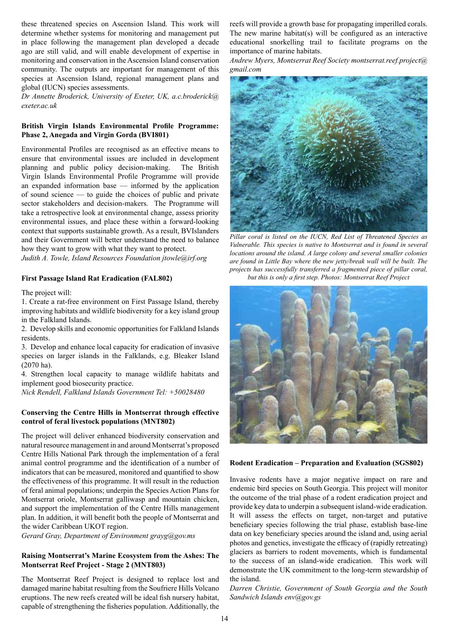these threatened species on Ascension Island. This work will determine whether systems for monitoring and management put in place following the management plan developed a decade ago are still valid, and will enable development of expertise in monitoring and conservation in the Ascension Island conservation community. The outputs are important for management of this species at Ascension Island, regional management plans and global (IUCN) species assessments.

*Dr Annette Broderick, University of Exeter, UK, a.c.broderick@ exeter.ac.uk*

#### **British Virgin Islands Environmental Profile Programme: Phase 2, Anegada and Virgin Gorda (BVI801)**

Environmental Profiles are recognised as an effective means to ensure that environmental issues are included in development planning and public policy decision-making. The British Virgin Islands Environmental Profile Programme will provide an expanded information base — informed by the application of sound science — to guide the choices of public and private sector stakeholders and decision-makers. The Programme will take a retrospective look at environmental change, assess priority environmental issues, and place these within a forward-looking context that supports sustainable growth. As a result, BVIslanders and their Government will better understand the need to balance how they want to grow with what they want to protect. *Judith A. Towle, Island Resources Foundation jtowle@irf.org*

#### **First Passage Island Rat Eradication (FAL802)**

The project will:

1. Create a rat-free environment on First Passage Island, thereby improving habitats and wildlife biodiversity for a key island group in the Falkland Islands.

2. Develop skills and economic opportunities for Falkland Islands residents.

3. Develop and enhance local capacity for eradication of invasive species on larger islands in the Falklands, e.g. Bleaker Island (2070 ha).

4. Strengthen local capacity to manage wildlife habitats and implement good biosecurity practice.

*Nick Rendell, Falkland Islands Government Tel: +50028480*

#### **Conserving the Centre Hills in Montserrat through effective control of feral livestock populations (MNT802)**

The project will deliver enhanced biodiversity conservation and natural resource management in and around Montserrat's proposed Centre Hills National Park through the implementation of a feral animal control programme and the identification of a number of indicators that can be measured, monitored and quantified to show the effectiveness of this programme. It will result in the reduction of feral animal populations; underpin the Species Action Plans for Montserrat oriole, Montserrat galliwasp and mountain chicken, and support the implementation of the Centre Hills management plan. In addition, it will benefit both the people of Montserrat and the wider Caribbean UKOT region.

*Gerard Gray, Department of Environment grayg@gov.ms* 

#### **Raising Montserrat's Marine Ecosystem from the Ashes: The Montserrat Reef Project - Stage 2 (MNT803)**

The Montserrat Reef Project is designed to replace lost and damaged marine habitat resulting from the Soufriere Hills Volcano eruptions. The new reefs created will be ideal fish nursery habitat, capable of strengthening the fisheries population. Additionally, the reefs will provide a growth base for propagating imperilled corals. The new marine habitat(s) will be configured as an interactive educational snorkelling trail to facilitate programs on the importance of marine habitats.

*Andrew Myers, Montserrat Reef Society montserrat.reef.project@ gmail.com*



*Pillar coral is listed on the IUCN, Red List of Threatened Species as Vulnerable. This species is native to Montserrat and is found in several locations around the island. A large colony and several smaller colonies are found in Little Bay where the new jetty/break wall will be built. The projects has successfully transferred a fragmented piece of pillar coral, but this is only a first step. Photos: Montserrat Reef Project*



#### **Rodent Eradication – Preparation and Evaluation (SGS802)**

Invasive rodents have a major negative impact on rare and endemic bird species on South Georgia. This project will monitor the outcome of the trial phase of a rodent eradication project and provide key data to underpin a subsequent island-wide eradication. It will assess the effects on target, non-target and putative beneficiary species following the trial phase, establish base-line data on key beneficiary species around the island and, using aerial photos and genetics, investigate the efficacy of (rapidly retreating) glaciers as barriers to rodent movements, which is fundamental to the success of an island-wide eradication. This work will demonstrate the UK commitment to the long-term stewardship of the island.

*Darren Christie, Government of South Georgia and the South Sandwich Islands env@gov.gs*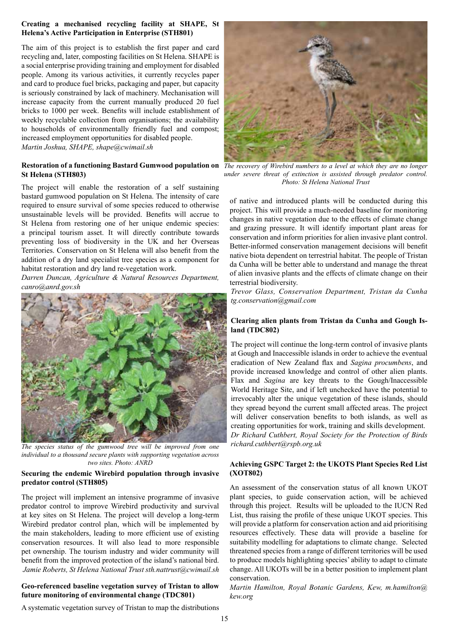#### **Creating a mechanised recycling facility at SHAPE, St Helena's Active Participation in Enterprise (STH801)**

The aim of this project is to establish the first paper and card recycling and, later, composting facilities on St Helena. SHAPE is a social enterprise providing training and employment for disabled people. Among its various activities, it currently recycles paper and card to produce fuel bricks, packaging and paper, but capacity is seriously constrained by lack of machinery. Mechanisation will increase capacity from the current manually produced 20 fuel bricks to 1000 per week. Benefits will include establishment of weekly recyclable collection from organisations; the availability to households of environmentally friendly fuel and compost; increased employment opportunities for disabled people. *Martin Joshua, SHAPE, shape@cwimail.sh*

#### **Restoration of a functioning Bastard Gumwood population on**  *The recovery of Wirebird numbers to a level at which they are no longer*  **St Helena (STH803)**

The project will enable the restoration of a self sustaining bastard gumwood population on St Helena. The intensity of care required to ensure survival of some species reduced to otherwise unsustainable levels will be provided. Benefits will accrue to St Helena from restoring one of her unique endemic species: a principal tourism asset. It will directly contribute towards preventing loss of biodiversity in the UK and her Overseas Territories. Conservation on St Helena will also benefit from the addition of a dry land specialist tree species as a component for habitat restoration and dry land re-vegetation work.

*Darren Duncan, Agriculture & Natural Resources Department, canro@anrd.gov.sh*



*The species status of the gumwood tree will be improved from one individual to a thousand secure plants with supporting vegetation across two sites. Photo: ANRD*

#### **Securing the endemic Wirebird population through invasive predator control (STH805)**

The project will implement an intensive programme of invasive predator control to improve Wirebird productivity and survival at key sites on St Helena. The project will develop a long-term Wirebird predator control plan, which will be implemented by the main stakeholders, leading to more efficient use of existing conservation resources. It will also lead to more responsible pet ownership. The tourism industry and wider community will benefit from the improved protection of the island's national bird.  *Jamie Roberts, St Helena National Trust sth.nattrust@cwimail.sh* 

#### **Geo-referenced baseline vegetation survey of Tristan to allow future monitoring of environmental change (TDC801)**



*under severe threat of extinction is assisted through predator control. Photo: St Helena National Trust*

of native and introduced plants will be conducted during this project. This will provide a much-needed baseline for monitoring changes in native vegetation due to the effects of climate change and grazing pressure. It will identify important plant areas for conservation and inform priorities for alien invasive plant control. Better-informed conservation management decisions will benefit native biota dependent on terrestrial habitat. The people of Tristan da Cunha will be better able to understand and manage the threat of alien invasive plants and the effects of climate change on their terrestrial biodiversity.

*Trevor Glass, Conservation Department, Tristan da Cunha tg.conservation@gmail.com*

#### **Clearing alien plants from Tristan da Cunha and Gough Island (TDC802)**

The project will continue the long-term control of invasive plants at Gough and Inaccessible islands in order to achieve the eventual eradication of New Zealand flax and *Sagina procumbens*, and provide increased knowledge and control of other alien plants. Flax and *Sagina* are key threats to the Gough/Inaccessible World Heritage Site, and if left unchecked have the potential to irrevocably alter the unique vegetation of these islands, should they spread beyond the current small affected areas. The project will deliver conservation benefits to both islands, as well as creating opportunities for work, training and skills development. *Dr Richard Cuthbert, Royal Society for the Protection of Birds richard.cuthbert@rspb.org.uk*

#### **Achieving GSPC Target 2: the UKOTS Plant Species Red List (XOT802)**

An assessment of the conservation status of all known UKOT plant species, to guide conservation action, will be achieved through this project. Results will be uploaded to the IUCN Red List, thus raising the profile of these unique UKOT species. This will provide a platform for conservation action and aid prioritising resources effectively. These data will provide a baseline for suitability modelling for adaptations to climate change. Selected threatened species from a range of different territories will be used to produce models highlighting species' ability to adapt to climate change. All UKOTs will be in a better position to implement plant conservation.

*Martin Hamilton, Royal Botanic Gardens, Kew, m.hamilton@ kew.org*

A systematic vegetation survey of Tristan to map the distributions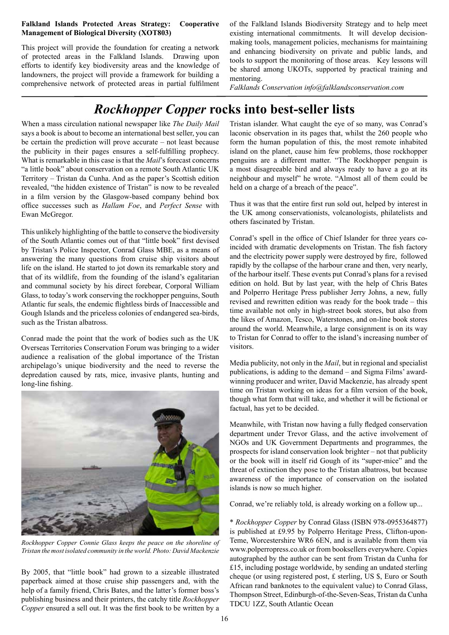#### **Falkland Islands Protected Areas Strategy: Cooperative Management of Biological Diversity (XOT803)**

This project will provide the foundation for creating a network of protected areas in the Falkland Islands. Drawing upon efforts to identify key biodiversity areas and the knowledge of landowners, the project will provide a framework for building a comprehensive network of protected areas in partial fulfilment

of the Falkland Islands Biodiversity Strategy and to help meet existing international commitments. It will develop decisionmaking tools, management policies, mechanisms for maintaining and enhancing biodiversity on private and public lands, and tools to support the monitoring of those areas. Key lessons will be shared among UKOTs, supported by practical training and mentoring.

*Falklands Conservation info@falklandsconservation.com*

# *Rockhopper Copper* **rocks into best-seller lists**

When a mass circulation national newspaper like *The Daily Mail* says a book is about to become an international best seller, you can be certain the prediction will prove accurate – not least because the publicity in their pages ensures a self-fulfilling prophecy. What is remarkable in this case is that the *Mail*'s forecast concerns "a little book" about conservation on a remote South Atlantic UK Territory – Tristan da Cunha. And as the paper's Scottish edition revealed, "the hidden existence of Tristan" is now to be revealed in a film version by the Glasgow-based company behind box office successes such as *Hallam Foe*, and *Perfect Sense* with Ewan McGregor.

This unlikely highlighting of the battle to conserve the biodiversity of the South Atlantic comes out of that "little book" first devised by Tristan's Police Inspector, Conrad Glass MBE, as a means of answering the many questions from cruise ship visitors about life on the island. He started to jot down its remarkable story and that of its wildlife, from the founding of the island's egalitarian and communal society by his direct forebear, Corporal William Glass, to today's work conserving the rockhopper penguins, South Atlantic fur seals, the endemic flightless birds of Inaccessible and Gough Islands and the priceless colonies of endangered sea-birds, such as the Tristan albatross.

Conrad made the point that the work of bodies such as the UK Overseas Territories Conservation Forum was bringing to a wider audience a realisation of the global importance of the Tristan archipelago's unique biodiversity and the need to reverse the depredation caused by rats, mice, invasive plants, hunting and long-line fishing.



*Rockhopper Copper Connie Glass keeps the peace on the shoreline of Tristan the most isolated community in the world. Photo: David Mackenzie*

By 2005, that "little book" had grown to a sizeable illustrated paperback aimed at those cruise ship passengers and, with the help of a family friend, Chris Bates, and the latter's former boss's publishing business and their printers, the catchy title *Rockhopper Copper* ensured a sell out. It was the first book to be written by a

Tristan islander. What caught the eye of so many, was Conrad's laconic observation in its pages that, whilst the 260 people who form the human population of this, the most remote inhabited island on the planet, cause him few problems, those rockhopper penguins are a different matter. "The Rockhopper penguin is a most disagreeable bird and always ready to have a go at its neighbour and myself" he wrote. "Almost all of them could be held on a charge of a breach of the peace".

Thus it was that the entire first run sold out, helped by interest in the UK among conservationists, volcanologists, philatelists and others fascinated by Tristan.

Conrad's spell in the office of Chief Islander for three years coincided with dramatic developments on Tristan. The fish factory and the electricity power supply were destroyed by fire, followed rapidly by the collapse of the harbour crane and then, very nearly, of the harbour itself. These events put Conrad's plans for a revised edition on hold. But by last year, with the help of Chris Bates and Polperro Heritage Press publisher Jerry Johns, a new, fully revised and rewritten edition was ready for the book trade – this time available not only in high-street book stores, but also from the likes of Amazon, Tesco, Waterstones, and on-line book stores around the world. Meanwhile, a large consignment is on its way to Tristan for Conrad to offer to the island's increasing number of visitors.

Media publicity, not only in the *Mail*, but in regional and specialist publications, is adding to the demand – and Sigma Films' awardwinning producer and writer, David Mackenzie, has already spent time on Tristan working on ideas for a film version of the book, though what form that will take, and whether it will be fictional or factual, has yet to be decided.

Meanwhile, with Tristan now having a fully fledged conservation department under Trevor Glass, and the active involvement of NGOs and UK Government Departments and programmes, the prospects for island conservation look brighter – not that publicity or the book will in itself rid Gough of its "super-mice" and the threat of extinction they pose to the Tristan albatross, but because awareness of the importance of conservation on the isolated islands is now so much higher.

Conrad, we're reliably told, is already working on a follow up...

\* *Rockhopper Copper* by Conrad Glass (ISBN 978-0955364877) is published at £9.95 by Polperro Heritage Press, Clifton-upon-Teme, Worcestershire WR6 6EN, and is available from them via www.polperropress.co.uk or from booksellers everywhere. Copies autographed by the author can be sent from Tristan da Cunha for £15, including postage worldwide, by sending an undated sterling cheque (or using registered post, £ sterling, US \$, Euro or South African rand banknotes to the equivalent value) to Conrad Glass, Thompson Street, Edinburgh-of-the-Seven-Seas, Tristan da Cunha TDCU 1ZZ, South Atlantic Ocean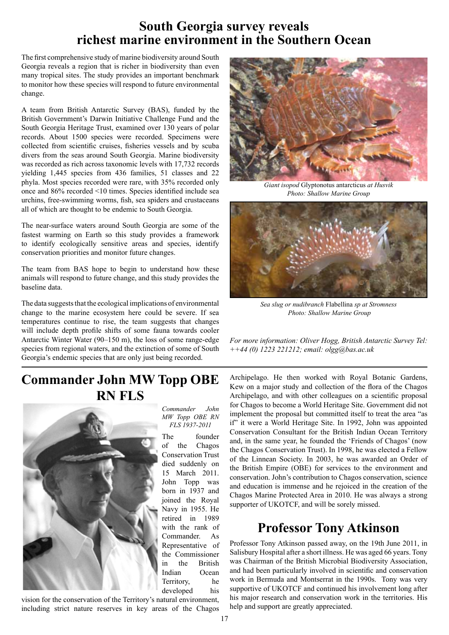### **South Georgia survey reveals richest marine environment in the Southern Ocean**

The first comprehensive study of marine biodiversity around South Georgia reveals a region that is richer in biodiversity than even many tropical sites. The study provides an important benchmark to monitor how these species will respond to future environmental change.

A team from British Antarctic Survey (BAS), funded by the British Government's Darwin Initiative Challenge Fund and the South Georgia Heritage Trust, examined over 130 years of polar records. About 1500 species were recorded. Specimens were collected from scientific cruises, fisheries vessels and by scuba divers from the seas around South Georgia. Marine biodiversity was recorded as rich across taxonomic levels with 17,732 records yielding 1,445 species from 436 families, 51 classes and 22 phyla. Most species recorded were rare, with 35% recorded only once and 86% recorded <10 times. Species identified include sea urchins, free-swimming worms, fish, sea spiders and crustaceans all of which are thought to be endemic to South Georgia.

The near-surface waters around South Georgia are some of the fastest warming on Earth so this study provides a framework to identify ecologically sensitive areas and species, identify conservation priorities and monitor future changes.

The team from BAS hope to begin to understand how these animals will respond to future change, and this study provides the baseline data.

The data suggests that the ecological implications of environmental change to the marine ecosystem here could be severe. If sea temperatures continue to rise, the team suggests that changes will include depth profile shifts of some fauna towards cooler Antarctic Winter Water (90–150 m), the loss of some range-edge species from regional waters, and the extinction of some of South Georgia's endemic species that are only just being recorded.

### **Commander John MW Topp OBE RN FLS**



vision for the conservation of the Territory's natural environment, including strict nature reserves in key areas of the Chagos

*Giant isopod* Glyptonotus antarcticus *at Husvik Photo: Shallow Marine Group*



*Sea slug or nudibranch* Flabellina *sp at Stromness Photo: Shallow Marine Group* 

*For more information: Oliver Hogg, British Antarctic Survey Tel: ++44 (0) 1223 221212; email: olgg@bas.ac.uk*

Archipelago. He then worked with Royal Botanic Gardens, Kew on a major study and collection of the flora of the Chagos Archipelago, and with other colleagues on a scientific proposal for Chagos to become a World Heritage Site. Government did not implement the proposal but committed itself to treat the area "as if" it were a World Heritage Site. In 1992, John was appointed Conservation Consultant for the British Indian Ocean Territory and, in the same year, he founded the 'Friends of Chagos' (now the Chagos Conservation Trust). In 1998, he was elected a Fellow of the Linnean Society. In 2003, he was awarded an Order of the British Empire (OBE) for services to the environment and conservation. John's contribution to Chagos conservation, science and education is immense and he rejoiced in the creation of the Chagos Marine Protected Area in 2010. He was always a strong supporter of UKOTCF, and will be sorely missed.

### **Professor Tony Atkinson**

Professor Tony Atkinson passed away, on the 19th June 2011, in Salisbury Hospital after a short illness. He was aged 66 years. Tony was Chairman of the British Microbial Biodiversity Association, and had been particularly involved in scientific and conservation work in Bermuda and Montserrat in the 1990s. Tony was very supportive of UKOTCF and continued his involvement long after his major research and conservation work in the territories. His help and support are greatly appreciated.

*FLS 1937-2011*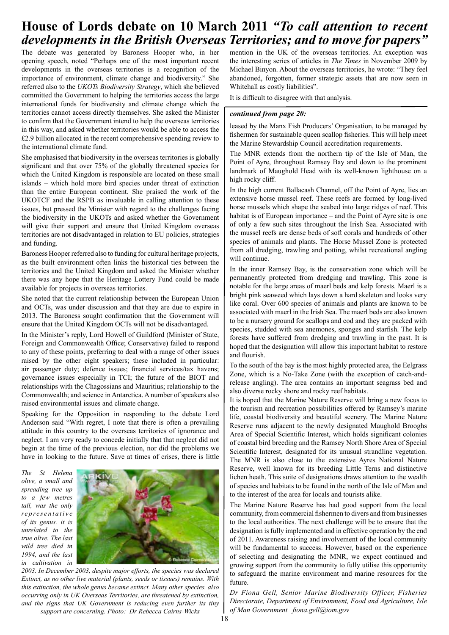### **House of Lords debate on 10 March 2011** *"To call attention to recent developments in the British Overseas Territories; and to move for papers"*

The debate was generated by Baroness Hooper who, in her opening speech, noted "Perhaps one of the most important recent developments in the overseas territories is a recognition of the importance of environment, climate change and biodiversity." She referred also to the *UKOTs Biodiversity Strategy*, which she believed committed the Government to helping the territories access the large international funds for biodiversity and climate change which the territories cannot access directly themselves. She asked the Minister to confirm that the Government intend to help the overseas territories in this way, and asked whether territories would be able to access the £2.9 billion allocated in the recent comprehensive spending review to the international climate fund.

She emphasised that biodiversity in the overseas territories is globally significant and that over 75% of the globally threatened species for which the United Kingdom is responsible are located on these small islands – which hold more bird species under threat of extinction than the entire European continent. She praised the work of the UKOTCF and the RSPB as invaluable in calling attention to these issues, but pressed the Minister with regard to the challenges facing the biodiversity in the UKOTs and asked whether the Government will give their support and ensure that United Kingdom overseas territories are not disadvantaged in relation to EU policies, strategies and funding.

Baroness Hooper referred also to funding for cultural heritage projects, as the built environment often links the historical ties between the territories and the United Kingdom and asked the Minister whether there was any hope that the Heritage Lottery Fund could be made available for projects in overseas territories.

She noted that the current relationship between the European Union and OCTs, was under discussion and that they are due to expire in 2013. The Baroness sought confirmation that the Government will ensure that the United Kingdom OCTs will not be disadvantaged.

In the Minister's reply, Lord Howell of Guildford (Minister of State, Foreign and Commonwealth Office; Conservative) failed to respond to any of these points, preferring to deal with a range of other issues raised by the other eight speakers; these included in particular: air passenger duty; defence issues; financial services/tax havens; governance issues especially in TCI; the future of the BIOT and relationships with the Chagossians and Mauritius; relationship to the Commonwealth; and science in Antarctica. A number of speakers also raised environmental issues and climate change.

Speaking for the Opposition in responding to the debate Lord Anderson said "With regret, I note that there is often a prevailing attitude in this country to the overseas territories of ignorance and neglect. I am very ready to concede initially that that neglect did not begin at the time of the previous election, nor did the problems we have in looking to the future. Save at times of crises, there is little

*The St Helena olive, a small and spreading tree up to a few metres tall, was the only re p re s e n t a t i v e of its genus. it is unrelated to the true olive. The last wild tree died in 1994, and the last in cultivation in* 



*2003. In December 2003, despite major efforts, the species was declared Extinct, as no other live material (plants, seeds or tissues) remains. With this extinction, the whole genus became extinct. Many other species, also occurring only in UK Overseas Territories, are threatened by extinction, and the signs that UK Government is reducing even further its tiny support are concerning. Photo: Dr Rebecca Cairns-Wicks*

mention in the UK of the overseas territories. An exception was the interesting series of articles in *The Times* in November 2009 by Michael Binyon. About the overseas territories, he wrote: "They feel abandoned, forgotten, former strategic assets that are now seen in Whitehall as costly liabilities".

It is difficult to disagree with that analysis.

#### *continued from page 20:*

leased by the Manx Fish Producers' Organisation, to be managed by fishermen for sustainable queen scallop fisheries. This will help meet the Marine Stewardship Council accreditation requirements.

The MNR extends from the northern tip of the Isle of Man, the Point of Ayre, throughout Ramsey Bay and down to the prominent landmark of Maughold Head with its well-known lighthouse on a high rocky cliff.

In the high current Ballacash Channel, off the Point of Ayre, lies an extensive horse mussel reef. These reefs are formed by long-lived horse mussels which shape the seabed into large ridges of reef. This habitat is of European importance – and the Point of Ayre site is one of only a few such sites throughout the Irish Sea. Associated with the mussel reefs are dense beds of soft corals and hundreds of other species of animals and plants. The Horse Mussel Zone is protected from all dredging, trawling and potting, whilst recreational angling will continue.

In the inner Ramsey Bay, is the conservation zone which will be permanently protected from dredging and trawling. This zone is notable for the large areas of maerl beds and kelp forests. Maerl is a bright pink seaweed which lays down a hard skeleton and looks very like coral. Over 600 species of animals and plants are known to be associated with maerl in the Irish Sea. The maerl beds are also known to be a nursery ground for scallops and cod and they are packed with species, studded with sea anemones, sponges and starfish. The kelp forests have suffered from dredging and trawling in the past. It is hoped that the designation will allow this important habitat to restore and flourish.

To the south of the bay is the most highly protected area, the Eelgrass Zone, which is a No-Take Zone (with the exception of catch-andrelease angling). The area contains an important seagrass bed and also diverse rocky shore and rocky reef habitats.

It is hoped that the Marine Nature Reserve will bring a new focus to the tourism and recreation possibilities offered by Ramsey's marine life, coastal biodiversity and beautiful scenery. The Marine Nature Reserve runs adjacent to the newly designated Maughold Brooghs Area of Special Scientific Interest, which holds significant colonies of coastal bird breeding and the Ramsey North Shore Area of Special Scientific Interest, designated for its unusual strandline vegetation. The MNR is also close to the extensive Ayres National Nature Reserve, well known for its breeding Little Terns and distinctive lichen heath. This suite of designations draws attention to the wealth of species and habitats to be found in the north of the Isle of Man and to the interest of the area for locals and tourists alike.

The Marine Nature Reserve has had good support from the local community, from commercial fishermen to divers and from businesses to the local authorities. The next challenge will be to ensure that the designation is fully implemented and in effective operation by the end of 2011. Awareness raising and involvement of the local community will be fundamental to success. However, based on the experience of selecting and designating the MNR, we expect continued and growing support from the community to fully utilise this opportunity to safeguard the marine environment and marine resources for the future.

*Dr Fiona Gell, Senior Marine Biodiversity Officer, Fisheries Directorate, Department of Environment, Food and Agriculture, Isle of Man Government fiona.gell@iom.gov*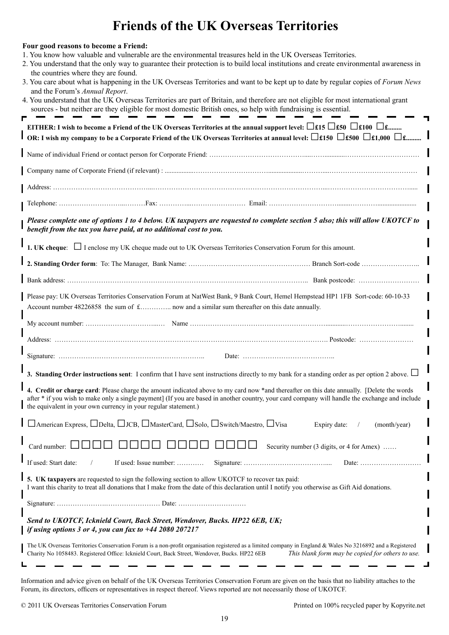# **Friends of the UK Overseas Territories**

| Four good reasons to become a Friend:<br>1. You know how valuable and vulnerable are the environmental treasures held in the UK Overseas Territories.<br>2. You understand that the only way to guarantee their protection is to build local institutions and create environmental awareness in<br>the countries where they are found.<br>3. You care about what is happening in the UK Overseas Territories and want to be kept up to date by regular copies of Forum News<br>and the Forum's Annual Report.<br>4. You understand that the UK Overseas Territories are part of Britain, and therefore are not eligible for most international grant<br>sources - but neither are they eligible for most domestic British ones, so help with fundraising is essential.<br>EITHER: I wish to become a Friend of the UK Overseas Territories at the annual support level: $\Box$ £15 $\Box$ £50 $\Box$ £100 $\Box$ £ |
|--------------------------------------------------------------------------------------------------------------------------------------------------------------------------------------------------------------------------------------------------------------------------------------------------------------------------------------------------------------------------------------------------------------------------------------------------------------------------------------------------------------------------------------------------------------------------------------------------------------------------------------------------------------------------------------------------------------------------------------------------------------------------------------------------------------------------------------------------------------------------------------------------------------------|
| OR: I wish my company to be a Corporate Friend of the UK Overseas Territories at annual level: $\square$ £150 $\square$ £500 $\square$ £1,000 $\square$ £                                                                                                                                                                                                                                                                                                                                                                                                                                                                                                                                                                                                                                                                                                                                                          |
|                                                                                                                                                                                                                                                                                                                                                                                                                                                                                                                                                                                                                                                                                                                                                                                                                                                                                                                    |
|                                                                                                                                                                                                                                                                                                                                                                                                                                                                                                                                                                                                                                                                                                                                                                                                                                                                                                                    |
|                                                                                                                                                                                                                                                                                                                                                                                                                                                                                                                                                                                                                                                                                                                                                                                                                                                                                                                    |
|                                                                                                                                                                                                                                                                                                                                                                                                                                                                                                                                                                                                                                                                                                                                                                                                                                                                                                                    |
| Please complete one of options 1 to 4 below. UK taxpayers are requested to complete section 5 also; this will allow UKOTCF to<br>benefit from the tax you have paid, at no additional cost to you.                                                                                                                                                                                                                                                                                                                                                                                                                                                                                                                                                                                                                                                                                                                 |
| 1. UK cheque: $\Box$ I enclose my UK cheque made out to UK Overseas Territories Conservation Forum for this amount.                                                                                                                                                                                                                                                                                                                                                                                                                                                                                                                                                                                                                                                                                                                                                                                                |
|                                                                                                                                                                                                                                                                                                                                                                                                                                                                                                                                                                                                                                                                                                                                                                                                                                                                                                                    |
|                                                                                                                                                                                                                                                                                                                                                                                                                                                                                                                                                                                                                                                                                                                                                                                                                                                                                                                    |
| Please pay: UK Overseas Territories Conservation Forum at NatWest Bank, 9 Bank Court, Hemel Hempstead HP1 1FB Sort-code: 60-10-33<br>Account number 48226858 the sum of £ now and a similar sum thereafter on this date annually.                                                                                                                                                                                                                                                                                                                                                                                                                                                                                                                                                                                                                                                                                  |
|                                                                                                                                                                                                                                                                                                                                                                                                                                                                                                                                                                                                                                                                                                                                                                                                                                                                                                                    |
|                                                                                                                                                                                                                                                                                                                                                                                                                                                                                                                                                                                                                                                                                                                                                                                                                                                                                                                    |
|                                                                                                                                                                                                                                                                                                                                                                                                                                                                                                                                                                                                                                                                                                                                                                                                                                                                                                                    |
| 3. Standing Order instructions sent: I confirm that I have sent instructions directly to my bank for a standing order as per option 2 above. $\Box$<br>4. Credit or charge card: Please charge the amount indicated above to my card now *and thereafter on this date annually. [Delete the words<br>after * if you wish to make only a single payment] (If you are based in another country, your card company will handle the exchange and include<br>the equivalent in your own currency in your regular statement.)                                                                                                                                                                                                                                                                                                                                                                                            |
| □ American Express, □ Delta, □ JCB, □ MasterCard, □ Solo, □ Switch/Maestro, □ Visa<br>Expiry date:<br>(month/year)                                                                                                                                                                                                                                                                                                                                                                                                                                                                                                                                                                                                                                                                                                                                                                                                 |
| Card number:<br>Security number (3 digits, or 4 for Amex)                                                                                                                                                                                                                                                                                                                                                                                                                                                                                                                                                                                                                                                                                                                                                                                                                                                          |
| If used: Start date:<br>If used: Issue number:<br>Date: $\dots\dots\dots\dots\dots\dots$                                                                                                                                                                                                                                                                                                                                                                                                                                                                                                                                                                                                                                                                                                                                                                                                                           |
| 5. UK taxpayers are requested to sign the following section to allow UKOTCF to recover tax paid:<br>I want this charity to treat all donations that I make from the date of this declaration until I notify you otherwise as Gift Aid donations.                                                                                                                                                                                                                                                                                                                                                                                                                                                                                                                                                                                                                                                                   |
|                                                                                                                                                                                                                                                                                                                                                                                                                                                                                                                                                                                                                                                                                                                                                                                                                                                                                                                    |
| Send to UKOTCF, Icknield Court, Back Street, Wendover, Bucks. HP22 6EB, UK;<br>if using options 3 or 4, you can fax to $+442080207217$                                                                                                                                                                                                                                                                                                                                                                                                                                                                                                                                                                                                                                                                                                                                                                             |
| The UK Overseas Territories Conservation Forum is a non-profit organisation registered as a limited company in England & Wales No 3216892 and a Registered<br>Charity No 1058483. Registered Office: Icknield Court, Back Street, Wendover, Bucks. HP22 6EB<br>This blank form may be copied for others to use.                                                                                                                                                                                                                                                                                                                                                                                                                                                                                                                                                                                                    |

Information and advice given on behalf of the UK Overseas Territories Conservation Forum are given on the basis that no liability attaches to the Forum, its directors, officers or representatives in respect thereof. Views reported are not necessarily those of UKOTCF.